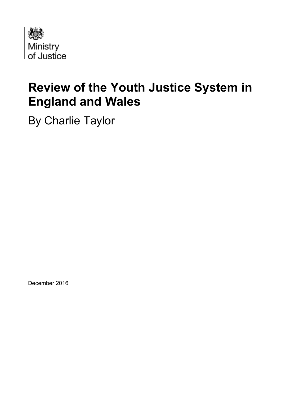

# **Review of the Youth Justice System in England and Wales**

By Charlie Taylor

December 2016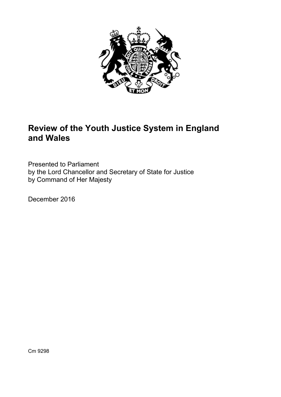

# **Review of the Youth Justice System in England and Wales**

Presented to Parliament by the Lord Chancellor and Secretary of State for Justice by Command of Her Majesty

December 2016

Cm 9298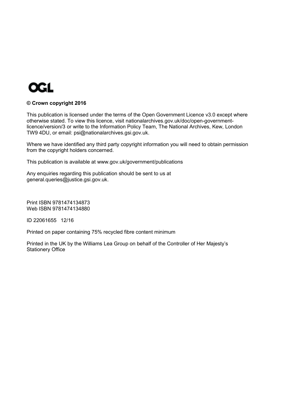

#### **© Crown copyright 2016**

This publication is licensed under the terms of the Open Government Licence v3.0 except where otherwise stated. To view this licence, visit [nationalarchives.gov.uk/doc/open-government](http://nationalarchives.gov.uk/doc/open-government-licence/version/3/)[licence/version/3](http://nationalarchives.gov.uk/doc/open-government-licence/version/3/) or write to the Information Policy Team, The National Archives, Kew, London TW9 4DU, or email: [psi@nationalarchives.gsi.gov.uk.](mailto:psi@nationalarchives.gsi.gov.uk)

Where we have identified any third party copyright information you will need to obtain permission from the copyright holders concerned.

This publication is available at [www.gov.uk/government/publications](http://www.gov.uk/government/publications) 

Any enquiries regarding this publication should be sent to us at general.queries@justice.gsi.gov.uk.

Print ISBN 9781474134873 Web ISBN 9781474134880

ID 22061655 12/16

Printed on paper containing 75% recycled fibre content minimum

Printed in the UK by the Williams Lea Group on behalf of the Controller of Her Majesty's Stationery Office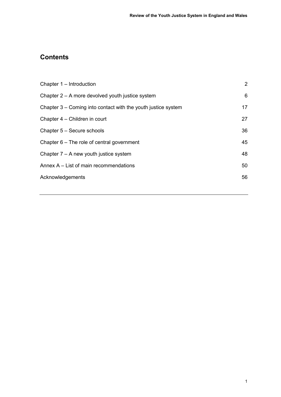# **Contents**

| Chapter 1 – Introduction                                      | $\overline{2}$ |
|---------------------------------------------------------------|----------------|
| Chapter 2 – A more devolved youth justice system              | 6              |
| Chapter 3 – Coming into contact with the youth justice system | 17             |
| Chapter 4 – Children in court                                 | 27             |
| Chapter 5 - Secure schools                                    | 36             |
| Chapter $6-$ The role of central government                   | 45             |
| Chapter $7 - A$ new youth justice system                      | 48             |
| Annex A – List of main recommendations                        | 50             |
| Acknowledgements                                              | 56             |
|                                                               |                |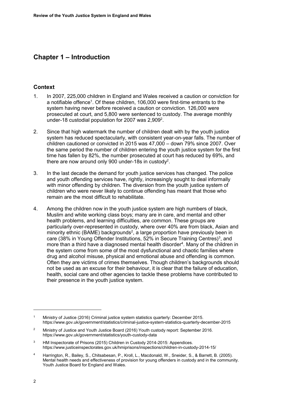# **Chapter 1 – Introduction**

## **Context**

- 1. In 2007, 225,000 children in England and Wales received a caution or conviction for a notifiable offence<sup>1</sup>. Of these children, 106,000 were first-time entrants to the system having never before received a caution or conviction. 126,000 were prosecuted at court, and 5,800 were sentenced to custody. The average monthly under-18 custodial population for 2007 was  $2,909^2$ .
- 2. Since that high watermark the number of children dealt with by the youth justice system has reduced spectacularly, with consistent year-on-year falls. The number of children cautioned or convicted in 2015 was 47,000 – down 79% since 2007. Over the same period the number of children entering the youth justice system for the first time has fallen by 82%, the number prosecuted at court has reduced by 69%, and there are now around only 900 under-18s in custody<sup>2</sup>.
- 3. In the last decade the demand for youth justice services has changed. The police and youth offending services have, rightly, increasingly sought to deal informally with minor offending by children. The diversion from the youth justice system of children who were never likely to continue offending has meant that those who remain are the most difficult to rehabilitate.
- 4. Among the children now in the youth justice system are high numbers of black, Muslim and white working class boys; many are in care, and mental and other health problems, and learning difficulties, are common. These groups are particularly over-represented in custody, where over 40% are from black, Asian and minority ethnic (BAME) backgrounds<sup>2</sup>, a large proportion have previously been in care (38% in Young Offender Institutions, 52% in Secure Training Centres)<sup>3</sup>, and more than a third have a diagnosed mental health disorder<sup>4</sup>. Many of the children in the system come from some of the most dysfunctional and chaotic families where drug and alcohol misuse, physical and emotional abuse and offending is common. Often they are victims of crimes themselves. Though children's backgrounds should not be used as an excuse for their behaviour, it is clear that the failure of education, health, social care and other agencies to tackle these problems have contributed to their presence in the youth justice system.

 $\ddot{\phantom{a}}$ 

<sup>1</sup> Ministry of Justice (2016) Criminal justice system statistics quarterly: December 2015. <https://www.gov.uk/government/statistics/criminal-justice-system-statistics-quarterly-december-2015>

 $\overline{2}$  Ministry of Justice and Youth Justice Board (2016) Youth custody report: September 2016. <https://www.gov.uk/government/statistics/youth-custody-data>

<sup>3</sup> HM Inspectorate of Prisons (2015) Children in Custody 2014-2015: Appendices. <https://www.justiceinspectorates.gov.uk/hmiprisons/inspections/children-in-custody-2014-15/>

<sup>4</sup> Harrington, R., Bailey, S., Chitsabesan, P., Kroll, L., Macdonald, W., Sneider, S., & Barrett, B. (2005). Mental health needs and effectiveness of provision for young offenders in custody and in the community. Youth Justice Board for England and Wales.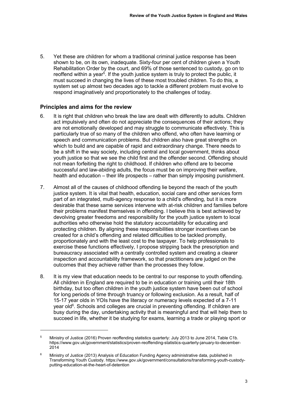5. Yet these are children for whom a traditional criminal justice response has been shown to be, on its own, inadequate. Sixty-four per cent of children given a Youth Rehabilitation Order by the court, and 69% of those sentenced to custody, go on to reoffend within a year<sup>5</sup>. If the youth justice system is truly to protect the public, it must succeed in changing the lives of these most troubled children. To do this, a system set up almost two decades ago to tackle a different problem must evolve to respond imaginatively and proportionately to the challenges of today.

## **Principles and aims for the review**

<u>.</u>

- 6. It is right that children who break the law are dealt with differently to adults. Children act impulsively and often do not appreciate the consequences of their actions; they are not emotionally developed and may struggle to communicate effectively. This is particularly true of so many of the children who offend, who often have learning or speech and communication problems. But children also have great strengths on which to build and are capable of rapid and extraordinary change. There needs to be a shift in the way society, including central and local government, thinks about youth justice so that we see the child first and the offender second. Offending should not mean forfeiting the right to childhood. If children who offend are to become successful and law-abiding adults, the focus must be on improving their welfare, health and education – their life prospects – rather than simply imposing punishment.
- 7. Almost all of the causes of childhood offending lie beyond the reach of the youth justice system. It is vital that health, education, social care and other services form part of an integrated, multi-agency response to a child's offending, but it is more desirable that these same services intervene with at-risk children and families before their problems manifest themselves in offending. I believe this is best achieved by devolving greater freedoms and responsibility for the youth justice system to local authorities who otherwise hold the statutory accountability for educating and protecting children. By aligning these responsibilities stronger incentives can be created for a child's offending and related difficulties to be tackled promptly, proportionately and with the least cost to the taxpayer. To help professionals to exercise these functions effectively, I propose stripping back the prescription and bureaucracy associated with a centrally controlled system and creating a clearer inspection and accountability framework, so that practitioners are judged on the outcomes that they achieve rather than the processes they follow.
- 8. It is my view that education needs to be central to our response to youth offending. All children in England are required to be in education or training until their 18th birthday, but too often children in the youth justice system have been out of school for long periods of time through truancy or following exclusion. As a result, half of 15-17 year olds in YOIs have the literacy or numeracy levels expected of a 7-11 year old<sup>6</sup>. Schools and colleges are crucial in preventing offending. If children are busy during the day, undertaking activity that is meaningful and that will help them to succeed in life, whether it be studying for exams, learning a trade or playing sport or

<sup>5</sup> Ministry of Justice (2016) Proven reoffending statistics quarterly: July 2013 to June 2014, Table C1b. https://www.gov.uk/government/statistics/proven-reoffending-statistics-quarterly-january-to-december-2014

<sup>6</sup> Ministry of Justice (2013) Analysis of Education Funding Agency administrative data, published in Transforming Youth Custody. [https://www.gov.uk/government/consultations/transforming-youth-custody](https://www.gov.uk/government/consultations/transforming-youth-custody-putting-education-at-the-heart-of-detention)[putting-education-at-the-heart-of-detention](https://www.gov.uk/government/consultations/transforming-youth-custody-putting-education-at-the-heart-of-detention)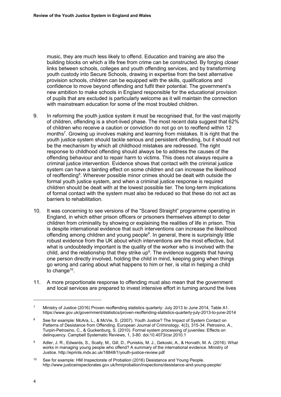music, they are much less likely to offend. Education and training are also the building blocks on which a life free from crime can be constructed. By forging closer links between schools, colleges and youth offending services, and by transforming youth custody into Secure Schools, drawing in expertise from the best alternative provision schools, children can be equipped with the skills, qualifications and confidence to move beyond offending and fulfil their potential. The government's new ambition to make schools in England responsible for the educational provision of pupils that are excluded is particularly welcome as it will maintain the connection with mainstream education for some of the most troubled children.

- 9. In reforming the youth justice system it must be recognised that, for the vast majority of children, offending is a short-lived phase. The most recent data suggest that 62% of children who receive a caution or conviction do not go on to reoffend within 12 months<sup>7</sup>. Growing up involves making and learning from mistakes. It is right that the youth justice system should tackle serious and persistent offending, but it should not be the mechanism by which all childhood mistakes are redressed. The right response to childhood offending should always be to address the causes of the offending behaviour and to repair harm to victims. This does not always require a criminal justice intervention. Evidence shows that contact with the criminal justice system can have a tainting effect on some children and can increase the likelihood of reoffending<sup>8</sup>. Wherever possible minor crimes should be dealt with outside the formal youth justice system, and when a criminal justice response is required children should be dealt with at the lowest possible tier. The long-term implications of formal contact with the system must also be reduced so that these do not act as barriers to rehabilitation.
- <span id="page-7-0"></span>10. It was concerning to see versions of the "Scared Straight" programme operating in England, in which either prison officers or prisoners themselves attempt to deter children from criminality by showing or explaining the realities of life in prison. This is despite international evidence that such interventions can increase the likelihood offending among children and young people<sup>9</sup>. In general, there is surprisingly little robust evidence from the UK about which interventions are the most effective, but what is undoubtedly important is the quality of the worker who is involved with the child, and the relationship that they strike up<sup>[9](#page-7-0)</sup>. The evidence suggests that having one person directly involved, holding the child in mind, keeping going when things go wrong and caring about what happens to him or her, is vital in helping a child to change<sup>10</sup>.
- 11. A more proportionate response to offending must also mean that the government and local services are prepared to invest intensive effort in turning around the lives

 $\overline{a}$ 

<sup>7</sup> Ministry of Justice (2016) Proven reoffending statistics quarterly: July 2013 to June 2014, Table A1. <https://www.gov.uk/government/statistics/proven-reoffending-statistics-quarterly-july-2013-to-june-2014>

<sup>8</sup> See for example: McAra, L., & McVie, S. (2007). Youth Justice? The Impact of System Contact on Patterns of Desistance from Offending. European Journal of Criminology, 4(3), 315-34. Petrosino, A., Turpin-Petrosino, C., & Guckenburg, S. (2010). Formal system processing of juveniles: Effects on delinquency. Campbell Systematic Reviews, 1, 3-80. doi:10.4073/csr.2010.1

<sup>9</sup> Adler, J. R., Edwards, S., Scally, M., Gill, D., Puniskis, M. J., Gekoski, A., & Horvath, M. A. (2016). What works in managing young people who offend? A summary of the international evidence. Ministry of Justice.<http://eprints.mdx.ac.uk/18848/1/youth-justice-review.pdf>

<sup>10</sup> See for example: HM Inspectorate of Probation (2016) Desistance and Young People. <http://www.justiceinspectorates.gov.uk/hmiprobation/inspections/desistance-and-young-people/>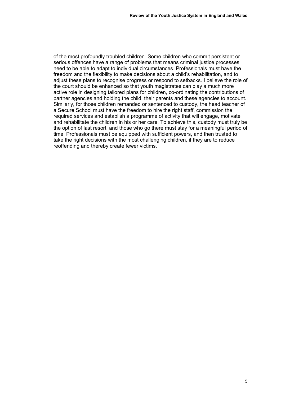of the most profoundly troubled children. Some children who commit persistent or serious offences have a range of problems that means criminal justice processes need to be able to adapt to individual circumstances. Professionals must have the freedom and the flexibility to make decisions about a child's rehabilitation, and to adjust these plans to recognise progress or respond to setbacks. I believe the role of the court should be enhanced so that youth magistrates can play a much more active role in designing tailored plans for children, co-ordinating the contributions of partner agencies and holding the child, their parents and these agencies to account. Similarly, for those children remanded or sentenced to custody, the head teacher of a Secure School must have the freedom to hire the right staff, commission the required services and establish a programme of activity that will engage, motivate and rehabilitate the children in his or her care. To achieve this, custody must truly be the option of last resort, and those who go there must stay for a meaningful period of time. Professionals must be equipped with sufficient powers, and then trusted to take the right decisions with the most challenging children, if they are to reduce reoffending and thereby create fewer victims.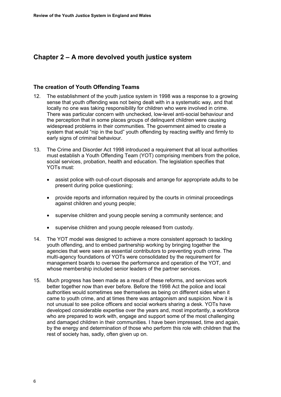# <span id="page-9-0"></span>**Chapter 2 – A more devolved youth justice system**

#### **The creation of Youth Offending Teams**

- 12. The establishment of the youth justice system in 1998 was a response to a growing sense that youth offending was not being dealt with in a systematic way, and that locally no one was taking responsibility for children who were involved in crime. There was particular concern with unchecked, low-level anti-social behaviour and the perception that in some places groups of delinquent children were causing widespread problems in their communities. The government aimed to create a system that would "nip in the bud" youth offending by reacting swiftly and firmly to early signs of criminal behaviour.
- 13. The Crime and Disorder Act 1998 introduced a requirement that all local authorities must establish a Youth Offending Team (YOT) comprising members from the police, social services, probation, health and education. The legislation specifies that YOTs must:
	- assist police with out-of-court disposals and arrange for appropriate adults to be present during police questioning;
	- provide reports and information required by the courts in criminal proceedings against children and young people;
	- supervise children and young people serving a community sentence; and
	- supervise children and young people released from custody.
- 14. The YOT model was designed to achieve a more consistent approach to tackling youth offending, and to embed partnership working by bringing together the agencies that were seen as essential contributors to preventing youth crime. The multi-agency foundations of YOTs were consolidated by the requirement for management boards to oversee the performance and operation of the YOT, and whose membership included senior leaders of the partner services.
- 15. Much progress has been made as a result of these reforms, and services work better together now than ever before. Before the 1998 Act the police and local authorities would sometimes see themselves as being on different sides when it came to youth crime, and at times there was antagonism and suspicion. Now it is not unusual to see police officers and social workers sharing a desk. YOTs have developed considerable expertise over the years and, most importantly, a workforce who are prepared to work with, engage and support some of the most challenging and damaged children in their communities. I have been impressed, time and again, by the energy and determination of those who perform this role with children that the rest of society has, sadly, often given up on.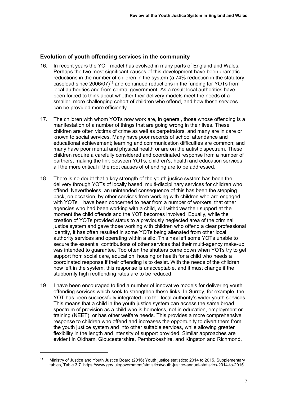## **Evolution of youth offending services in the community**

- 16. In recent years the YOT model has evolved in many parts of England and Wales. Perhaps the two most significant causes of this development have been dramatic reductions in the number of children in the system (a 74% reduction in the statutory caseload since  $2006/07$ <sup>11</sup> and continued reductions in the funding for YOTs from local authorities and from central government. As a result local authorities have been forced to think about whether their delivery models meet the needs of a smaller, more challenging cohort of children who offend, and how these services can be provided more efficiently.
- 17. The children with whom YOTs now work are, in general, those whose offending is a manifestation of a number of things that are going wrong in their lives. These children are often victims of crime as well as perpetrators, and many are in care or known to social services. Many have poor records of school attendance and educational achievement; learning and communication difficulties are common; and many have poor mental and physical health or are on the autistic spectrum. These children require a carefully considered and coordinated response from a number of partners, making the link between YOTs, children's, health and education services all the more critical if the root causes of offending are to be addressed.
- 18. There is no doubt that a key strength of the youth justice system has been the delivery through YOTs of locally based, multi-disciplinary services for children who offend. Nevertheless, an unintended consequence of this has been the stepping back, on occasion, by other services from working with children who are engaged with YOTs. I have been concerned to hear from a number of workers, that other agencies who had been working with a child, will withdraw their support at the moment the child offends and the YOT becomes involved. Equally, while the creation of YOTs provided status to a previously neglected area of the criminal justice system and gave those working with children who offend a clear professional identity, it has often resulted in some YOTs being alienated from other local authority services and operating within a silo. This has left some YOTs unable to secure the essential contributions of other services that their multi-agency make-up was intended to guarantee. Too often the shutters come down when YOTs try to get support from social care, education, housing or health for a child who needs a coordinated response if their offending is to desist. With the needs of the children now left in the system, this response is unacceptable, and it must change if the stubbornly high reoffending rates are to be reduced.
- 19. I have been encouraged to find a number of innovative models for delivering youth offending services which seek to strengthen these links. In Surrey, for example, the YOT has been successfully integrated into the local authority's wider youth services. This means that a child in the youth justice system can access the same broad spectrum of provision as a child who is homeless, not in education, employment or training (NEET), or has other welfare needs. This provides a more comprehensive response to children who offend and increases the opportunity to divert them from the youth justice system and into other suitable services, while allowing greater flexibility in the length and intensity of support provided. Similar approaches are evident in Oldham, Gloucestershire, Pembrokeshire, and Kingston and Richmond,

-

<sup>11</sup> Ministry of Justice and Youth Justice Board (2016) Youth justice statistics: 2014 to 2015, Supplementary tables, Table 3.7.<https://www.gov.uk/government/statistics/youth-justice-annual-statistics-2014-to-2015>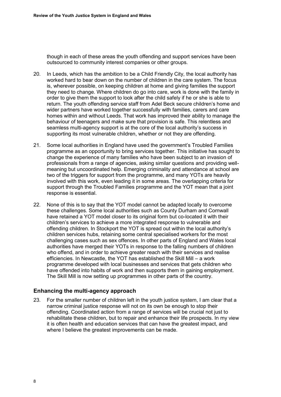though in each of these areas the youth offending and support services have been outsourced to community interest companies or other groups.

- 20. In Leeds, which has the ambition to be a Child Friendly City, the local authority has worked hard to bear down on the number of children in the care system. The focus is, wherever possible, on keeping children at home and giving families the support they need to change. Where children do go into care, work is done with the family in order to give them the support to look after the child safely if he or she is able to return. The youth offending service staff from Adel Beck secure children's home and wider partners have worked together successfully with families, carers and care homes within and without Leeds. That work has improved their ability to manage the behaviour of teenagers and make sure that provision is safe. This relentless and seamless multi-agency support is at the core of the local authority's success in supporting its most vulnerable children, whether or not they are offending.
- 21. Some local authorities in England have used the government's Troubled Families programme as an opportunity to bring services together. This initiative has sought to change the experience of many families who have been subject to an invasion of professionals from a range of agencies, asking similar questions and providing wellmeaning but uncoordinated help. Emerging criminality and attendance at school are two of the triggers for support from the programme, and many YOTs are heavily involved with this work, even leading it in some areas. The overlapping criteria for support through the Troubled Families programme and the YOT mean that a joint response is essential.
- 22. None of this is to say that the YOT model cannot be adapted locally to overcome these challenges. Some local authorities such as County Durham and Cornwall have retained a YOT model closer to its original form but co-located it with their children's services to achieve a more integrated response to vulnerable and offending children. In Stockport the YOT is spread out within the local authority's children services hubs, retaining some central specialised workers for the most challenging cases such as sex offences. In other parts of England and Wales local authorities have merged their YOTs in response to the falling numbers of children who offend, and in order to achieve greater reach with their services and realise efficiencies. In Newcastle, the YOT has established the Skill Mill – a work programme developed with local businesses and services that gets children who have offended into habits of work and then supports them in gaining employment. The Skill Mill is now setting up programmes in other parts of the country.

## **Enhancing the multi-agency approach**

23. For the smaller number of children left in the youth justice system, I am clear that a narrow criminal justice response will not on its own be enough to stop their offending. Coordinated action from a range of services will be crucial not just to rehabilitate these children, but to repair and enhance their life prospects. In my view it is often health and education services that can have the greatest impact, and where I believe the greatest improvements can be made.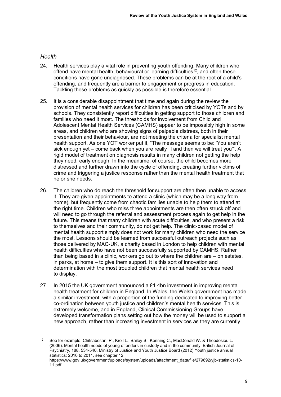## *Health*

<u>.</u>

- 24. Health services play a vital role in preventing youth offending. Many children who offend have mental health, behavioural or learning difficulties<sup>12</sup>, and often these conditions have gone undiagnosed. These problems can be at the root of a child's offending, and frequently are a barrier to engagement or progress in education. Tackling these problems as quickly as possible is therefore essential.
- 25. It is a considerable disappointment that time and again during the review the provision of mental health services for children has been criticised by YOTs and by schools. They consistently report difficulties in getting support to those children and families who need it most. The thresholds for involvement from Child and Adolescent Mental Health Services (CAMHS) appear to be impossibly high in some areas, and children who are showing signs of palpable distress, both in their presentation and their behaviour, are not meeting the criteria for specialist mental health support. As one YOT worker put it, "The message seems to be: 'You aren't sick enough yet – come back when you are really ill and then we will treat you'". A rigid model of treatment on diagnosis results in many children not getting the help they need, early enough. In the meantime, of course, the child becomes more distressed and further drawn into the cycle of offending, creating further victims of crime and triggering a justice response rather than the mental health treatment that he or she needs.
- 26. The children who do reach the threshold for support are often then unable to access it. They are given appointments to attend a clinic (which may be a long way from home), but frequently come from chaotic families unable to help them to attend at the right time. Children who miss three appointments are then often struck off and will need to go through the referral and assessment process again to get help in the future. This means that many children with acute difficulties, and who present a risk to themselves and their community, do not get help. The clinic-based model of mental health support simply does not work for many children who need the service the most. Lessons should be learned from successful outreach projects such as those delivered by MAC-UK, a charity based in London to help children with mental health difficulties who have not been successfully supported by CAMHS. Rather than being based in a clinic, workers go out to where the children are – on estates, in parks, at home – to give them support. It is this sort of innovation and determination with the most troubled children that mental health services need to display.
- <span id="page-12-0"></span>27. In 2015 the UK government announced a £1.4bn investment in improving mental health treatment for children in England. In Wales, the Welsh government has made a similar investment, with a proportion of the funding dedicated to improving better co-ordination between youth justice and children's mental health services. This is extremely welcome, and in England, Clinical Commissioning Groups have developed transformation plans setting out how the money will be used to support a new approach, rather than increasing investment in services as they are currently

<sup>&</sup>lt;sup>12</sup> See for example: Chitsabesan, P., Kroll L., Bailey S., Kenning C., MacDonald W. & Theodosiou L. (2006). Mental health needs of young offenders in custody and in the community. British Journal of Psychiatry, 188, 534-540. Ministry of Justice and Youth Justice Board (2012) Youth justice annual statistics: 2010 to 2011, see chapter 12: [https://www.gov.uk/government/uploads/system/uploads/attachment\\_data/file/279892/yjb-statistics-10-](https://www.gov.uk/government/uploads/system/uploads/attachment_data/file/279892/yjb-statistics-10-11.pdf)

[<sup>11.</sup>pdf](https://www.gov.uk/government/uploads/system/uploads/attachment_data/file/279892/yjb-statistics-10-11.pdf)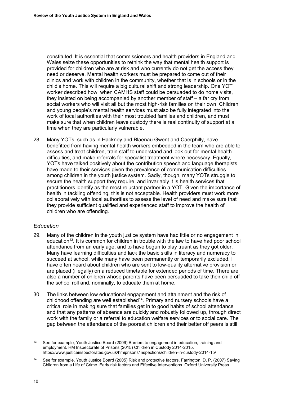constituted. It is essential that commissioners and health providers in England and Wales seize these opportunities to rethink the way that mental health support is provided for children who are at risk and who currently do not get the access they need or deserve. Mental health workers must be prepared to come out of their clinics and work with children in the community, whether that is in schools or in the child's home. This will require a big cultural shift and strong leadership. One YOT worker described how, when CAMHS staff could be persuaded to do home visits, they insisted on being accompanied by another member of staff – a far cry from social workers who will visit all but the most high-risk families on their own. Children and young people's mental health services must also be fully integrated into the work of local authorities with their most troubled families and children, and must make sure that when children leave custody there is real continuity of support at a time when they are particularly vulnerable.

28. Many YOTs, such as in Hackney and Blaenau Gwent and Caerphilly, have benefitted from having mental health workers embedded in the team who are able to assess and treat children, train staff to understand and look out for mental health difficulties, and make referrals for specialist treatment where necessary. Equally, YOTs have talked positively about the contribution speech and language therapists have made to their services given the prevalence of communication difficulties among children in the youth justice system. Sadly, though, many YOTs struggle to secure the health support they require, and invariably it is health services that practitioners identify as the most reluctant partner in a YOT. Given the importance of health in tackling offending, this is not acceptable. Health providers must work more collaboratively with local authorities to assess the level of need and make sure that they provide sufficient qualified and experienced staff to improve the health of children who are offending.

## *Education*

- 29. Many of the children in the youth justice system have had little or no engagement in education<sup>13</sup>. It is common for children in trouble with the law to have had poor school attendance from an early age, and to have begun to play truant as they got older. Many have learning difficulties and lack the basic skills in literacy and numeracy to succeed at school, while many have been permanently or temporarily excluded. I have often heard about children who are sent to low-quality alternative provision or are placed (illegally) on a reduced timetable for extended periods of time. There are also a number of children whose parents have been persuaded to take their child off the school roll and, nominally, to educate them at home.
- 30. The links between low educational engagement and attainment and the risk of childhood offending are well established<sup> $14$ </sup>. Primary and nursery schools have a critical role in making sure that families get in to good habits of school attendance and that any patterns of absence are quickly and robustly followed up, through direct work with the family or a referral to education welfare services or to social care. The gap between the attendance of the poorest children and their better off peers is still

 $\overline{a}$ 

<sup>&</sup>lt;sup>13</sup> See for example, Youth Justice Board (2006) Barriers to engagement in education, training and employment. HM Inspectorate of Prisons (2015) Children in Custody 2014-2015. <https://www.justiceinspectorates.gov.uk/hmiprisons/inspections/children-in-custody-2014-15/>

<sup>14</sup> See for example, Youth Justice Board (2005) Risk and protective factors. Farrington, D. P. (2007) Saving Children from a Life of Crime. Early risk factors and Effective Interventions. Oxford University Press.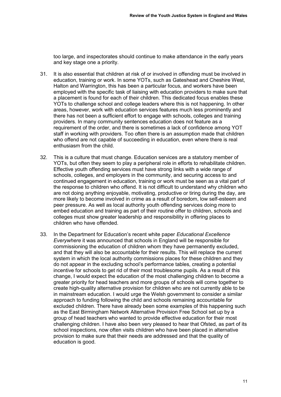too large, and inspectorates should continue to make attendance in the early years and key stage one a priority.

- 31. It is also essential that children at risk of or involved in offending must be involved in education, training or work. In some YOTs, such as Gateshead and Cheshire West, Halton and Warrington, this has been a particular focus, and workers have been employed with the specific task of liaising with education providers to make sure that a placement is found for each of their children. This dedicated focus enables these YOTs to challenge school and college leaders where this is not happening. In other areas, however, work with education services features much less prominently and there has not been a sufficient effort to engage with schools, colleges and training providers. In many community sentences education does not feature as a requirement of the order, and there is sometimes a lack of confidence among YOT staff in working with providers. Too often there is an assumption made that children who offend are not capable of succeeding in education, even where there is real enthusiasm from the child.
- 32. This is a culture that must change. Education services are a statutory member of YOTs, but often they seem to play a peripheral role in efforts to rehabilitate children. Effective youth offending services must have strong links with a wide range of schools, colleges, and employers in the community, and securing access to and continued engagement in education, training or work must be seen as a vital part of the response to children who offend. It is not difficult to understand why children who are not doing anything enjoyable, motivating, productive or tiring during the day, are more likely to become involved in crime as a result of boredom, low self-esteem and peer pressure. As well as local authority youth offending services doing more to embed education and training as part of their routine offer to children, schools and colleges must show greater leadership and responsibility in offering places to children who have offended.
- 33. In the Department for Education's recent white paper *Educational Excellence Everywhere* it was announced that schools in England will be responsible for commissioning the education of children whom they have permanently excluded, and that they will also be accountable for their results. This will replace the current system in which the local authority commissions places for these children and they do not appear in the excluding school's performance tables, creating a potential incentive for schools to get rid of their most troublesome pupils. As a result of this change, I would expect the education of the most challenging children to become a greater priority for head teachers and more groups of schools will come together to create high-quality alternative provision for children who are not currently able to be in mainstream education. I would urge the Welsh government to consider a similar approach to funding following the child and schools remaining accountable for excluded children. There have already been some examples of this happening such as the East Birmingham Network Alternative Provision Free School set up by a group of head teachers who wanted to provide effective education for their most challenging children. I have also been very pleased to hear that Ofsted, as part of its school inspections, now often visits children who have been placed in alternative provision to make sure that their needs are addressed and that the quality of education is good.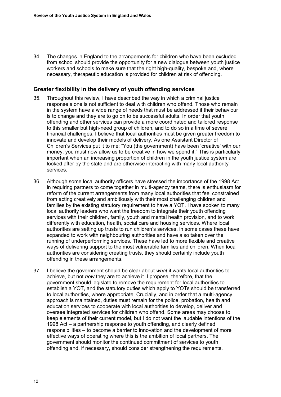34. The changes in England to the arrangements for children who have been excluded from school should provide the opportunity for a new dialogue between youth justice workers and schools to make sure that the right high-quality, bespoke and, where necessary, therapeutic education is provided for children at risk of offending.

#### **Greater flexibility in the delivery of youth offending services**

- 35. Throughout this review, I have described the way in which a criminal justice response alone is not sufficient to deal with children who offend. Those who remain in the system have a wide range of needs that must be addressed if their behaviour is to change and they are to go on to be successful adults. In order that youth offending and other services can provide a more coordinated and tailored response to this smaller but high-need group of children, and to do so in a time of severe financial challenges, I believe that local authorities must be given greater freedom to innovate and develop their models of delivery. As one Assistant Director of Children's Services put it to me: "You (the government) have been 'creative' with our money; you must now allow us to be creative in how we spend it." This is particularly important when an increasing proportion of children in the youth justice system are looked after by the state and are otherwise interacting with many local authority services.
- 36. Although some local authority officers have stressed the importance of the 1998 Act in requiring partners to come together in multi-agency teams, there is enthusiasm for reform of the current arrangements from many local authorities that feel constrained from acting creatively and ambitiously with their most challenging children and families by the existing statutory requirement to have a YOT. I have spoken to many local authority leaders who want the freedom to integrate their youth offending services with their children, family, youth and mental health provision, and to work differently with education, health, social care and housing services. Where local authorities are setting up trusts to run children's services, in some cases these have expanded to work with neighbouring authorities and have also taken over the running of underperforming services. These have led to more flexible and creative ways of delivering support to the most vulnerable families and children. When local authorities are considering creating trusts, they should certainly include youth offending in these arrangements.
- <span id="page-15-0"></span>37. I believe the government should be clear about *what* it wants local authorities to achieve, but not *how* they are to achieve it. I propose, therefore, that the government should legislate to remove the requirement for local authorities to establish a YOT, and the statutory duties which apply to YOTs should be transferred to local authorities, where appropriate. Crucially, and in order that a multi-agency approach is maintained, duties must remain for the police, probation, health and education services to cooperate with local authorities to develop, deliver and oversee integrated services for children who offend. Some areas may choose to keep elements of their current model, but I do not want the laudable intentions of the 1998 Act – a partnership response to youth offending, and clearly defined responsibilities – to become a barrier to innovation and the development of more effective ways of operating where this is the ambition of local partners. The government should monitor the continued commitment of services to youth offending and, if necessary, should consider strengthening the requirements.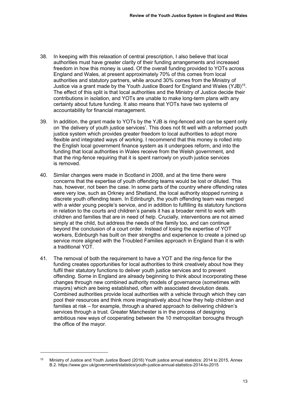- 38. In keeping with this relaxation of central prescription, I also believe that local authorities must have greater clarity of their funding arrangements and increased freedom in how this money is used. Of the overall funding provided to YOTs across England and Wales, at present approximately 70% of this comes from local authorities and statutory partners, while around 30% comes from the Ministry of Justice via a grant made by the Youth Justice Board for England and Wales (YJB)<sup>15</sup>. The effect of this split is that local authorities and the Ministry of Justice decide their contributions in isolation, and YOTs are unable to make long-term plans with any certainty about future funding. It also means that YOTs have two systems of accountability for financial management.
- <span id="page-16-0"></span>39. In addition, the grant made to YOTs by the YJB is ring-fenced and can be spent only on 'the delivery of youth justice services'. This does not fit well with a reformed youth justice system which provides greater freedom to local authorities to adopt more flexible and integrated ways of working. I recommend that this money is rolled into the English local government finance system as it undergoes reform, and into the funding that local authorities in Wales receive from the Welsh government, and that the ring-fence requiring that it is spent narrowly on youth justice services is removed.
- 40. Similar changes were made in Scotland in 2008, and at the time there were concerns that the expertise of youth offending teams would be lost or diluted. This has, however, not been the case. In some parts of the country where offending rates were very low, such as Orkney and Shetland, the local authority stopped running a discrete youth offending team. In Edinburgh, the youth offending team was merged with a wider young people's service, and in addition to fulfilling its statutory functions in relation to the courts and children's panels it has a broader remit to work with children and families that are in need of help. Crucially, interventions are not aimed simply at the child, but address the needs of the family too, and can continue beyond the conclusion of a court order. Instead of losing the expertise of YOT workers, Edinburgh has built on their strengths and experience to create a joined up service more aligned with the Troubled Families approach in England than it is with a traditional YOT.
- 41. The removal of both the requirement to have a YOT and the ring-fence for the funding creates opportunities for local authorities to think creatively about how they fulfil their statutory functions to deliver youth justice services and to prevent offending. Some in England are already beginning to think about incorporating these changes through new combined authority models of governance (sometimes with mayors) which are being established, often with associated devolution deals. Combined authorities provide local authorities with a vehicle through which they can pool their resources and think more imaginatively about how they help children and families at risk – for example, through a shared approach to delivering children's services through a trust. Greater Manchester is in the process of designing ambitious new ways of cooperating between the 10 metropolitan boroughs through the office of the mayor.

-

<sup>&</sup>lt;sup>15</sup> Ministry of Justice and Youth Justice Board (2016) Youth justice annual statistics: 2014 to 2015. Annex B.2.<https://www.gov.uk/government/statistics/youth-justice-annual-statistics-2014-to-2015>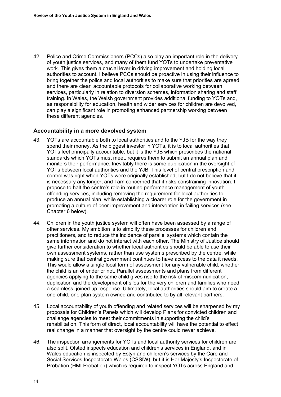42. Police and Crime Commissioners (PCCs) also play an important role in the delivery of youth justice services, and many of them fund YOTs to undertake preventative work. This gives them a crucial lever in driving improvement and holding local authorities to account. I believe PCCs should be proactive in using their influence to bring together the police and local authorities to make sure that priorities are agreed and there are clear, accountable protocols for collaborative working between services, particularly in relation to diversion schemes, information sharing and staff training. In Wales, the Welsh government provides additional funding to YOTs and, as responsibility for education, health and wider services for children are devolved, can play a significant role in promoting enhanced partnership working between these different agencies.

# **Accountability in a more devolved system**

- <span id="page-17-0"></span>43. YOTs are accountable both to local authorities and to the YJB for the way they spend their money. As the biggest investor in YOTs, it is to local authorities that YOTs feel principally accountable, but it is the YJB which prescribes the national standards which YOTs must meet, requires them to submit an annual plan and monitors their performance. Inevitably there is some duplication in the oversight of YOTs between local authorities and the YJB. This level of central prescription and control was right when YOTs were originally established, but I do not believe that it is necessary any longer, and I am concerned that it risks constraining innovation. I propose to halt the centre's role in routine performance management of youth offending services, including removing the requirement for local authorities to produce an annual plan, while establishing a clearer role for the government in promoting a culture of peer improvement and intervention in failing services (see [Chapter 6 below\)](#page-48-0).
- <span id="page-17-1"></span>44. Children in the youth justice system will often have been assessed by a range of other services. My ambition is to simplify these processes for children and practitioners, and to reduce the incidence of parallel systems which contain the same information and do not interact with each other. The Ministry of Justice should give further consideration to whether local authorities should be able to use their own assessment systems, rather than use systems prescribed by the centre, while making sure that central government continues to have access to the data it needs. This would allow a single local form of assessment for any vulnerable child, whether the child is an offender or not. Parallel assessments and plans from different agencies applying to the same child gives rise to the risk of miscommunication, duplication and the development of silos for the very children and families who need a seamless, joined up response. Ultimately, local authorities should aim to create a one-child, one-plan system owned and contributed to by all relevant partners.
- 45. Local accountability of youth offending and related services will be sharpened by my proposals for Children's Panels which will develop Plans for convicted children and challenge agencies to meet their commitments in supporting the child's rehabilitation. This form of direct, local accountability will have the potential to effect real change in a manner that oversight by the centre could never achieve.
- <span id="page-17-2"></span>46. The inspection arrangements for YOTs and local authority services for children are also split. Ofsted inspects education and children's services in England, and in Wales education is inspected by Estyn and children's services by the Care and Social Services Inspectorate Wales (CSSIW), but it is Her Majesty's Inspectorate of Probation (HMI Probation) which is required to inspect YOTs across England and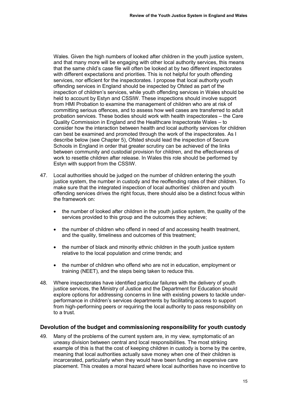Wales. Given the high numbers of looked after children in the youth justice system, and that many more will be engaging with other local authority services, this means that the same child's case file will often be looked at by two different inspectorates with different expectations and priorities. This is not helpful for youth offending services, nor efficient for the inspectorates. I propose that local authority youth offending services in England should be inspected by Ofsted as part of the inspection of children's services, while youth offending services in Wales should be held to account by Estyn and CSSIW. These inspections should involve support from HMI Probation to examine the management of children who are at risk of committing serious offences, and to assess how well cases are transferred to adult probation services. These bodies should work with health inspectorates – the Care Quality Commission in England and the Healthcare Inspectorate Wales – to consider how the interaction between health and local authority services for children can best be examined and promoted through the work of the inspectorates. As I describe below (see [Chapter 5\)](#page-39-0), Ofsted should lead the inspection of Secure Schools in England in order that greater scrutiny can be achieved of the links between community and custodial provision for children, and the effectiveness of work to resettle children after release. In Wales this role should be performed by Estyn with support from the CSSIW.

- 47. Local authorities should be judged on the number of children entering the youth justice system, the number in custody and the reoffending rates of their children. To make sure that the integrated inspection of local authorities' children and youth offending services drives the right focus, there should also be a distinct focus within the framework on:
	- the number of looked after children in the youth justice system, the quality of the services provided to this group and the outcomes they achieve;
	- the number of children who offend in need of and accessing health treatment, and the quality, timeliness and outcomes of this treatment;
	- the number of black and minority ethnic children in the youth justice system relative to the local population and crime trends; and
	- the number of children who offend who are not in education, employment or training (NEET), and the steps being taken to reduce this.
- 48. Where inspectorates have identified particular failures with the delivery of youth justice services, the Ministry of Justice and the Department for Education should explore options for addressing concerns in line with existing powers to tackle underperformance in children's services departments by facilitating access to support from high-performing peers or requiring the local authority to pass responsibility on to a trust.

## **Devolution of the budget and commissioning responsibility for youth custody**

49. Many of the problems of the current system are, in my view, symptomatic of an uneasy division between central and local responsibilities. The most striking example of this is that the cost of keeping children in custody is borne by the centre, meaning that local authorities actually save money when one of their children is incarcerated, particularly when they would have been funding an expensive care placement. This creates a moral hazard where local authorities have no incentive to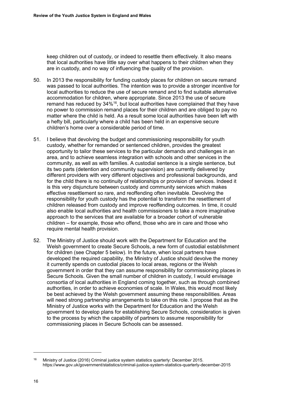keep children out of custody, or indeed to resettle them effectively. It also means that local authorities have little say over what happens to their children when they are in custody, and no way of influencing the quality of the provision.

- 50. In 2013 the responsibility for funding custody places for children on secure remand was passed to local authorities. The intention was to provide a stronger incentive for local authorities to reduce the use of secure remand and to find suitable alternative accommodation for children, where appropriate. Since 2013 the use of secure remand has reduced by 34%<sup>16</sup>, but local authorities have complained that they have no power to commission remand places for their children and are obliged to pay no matter where the child is held. As a result some local authorities have been left with a hefty bill, particularly where a child has been held in an expensive secure children's home over a considerable period of time.
- 51. I believe that devolving the budget and commissioning responsibility for youth custody, whether for remanded or sentenced children, provides the greatest opportunity to tailor these services to the particular demands and challenges in an area, and to achieve seamless integration with schools and other services in the community, as well as with families. A custodial sentence is a single sentence, but its two parts (detention and community supervision) are currently delivered by different providers with very different objectives and professional backgrounds, and for the child there is no continuity of relationships or provision of services. Indeed it is this very disjuncture between custody and community services which makes effective resettlement so rare, and reoffending often inevitable. Devolving the responsibility for youth custody has the potential to transform the resettlement of children released from custody and improve reoffending outcomes. In time, it could also enable local authorities and health commissioners to take a more imaginative approach to the services that are available for a broader cohort of vulnerable children – for example, those who offend, those who are in care and those who require mental health provision.
- <span id="page-19-0"></span>52. The Ministry of Justice should work with the Department for Education and the Welsh government to create Secure Schools, a new form of custodial establishment for children (see [Chapter 5 below\)](#page-39-0). In the future, when local partners have developed the required capability, the Ministry of Justice should devolve the money it currently spends on custodial places to local areas, regions or the Welsh government in order that they can assume responsibility for commissioning places in Secure Schools. Given the small number of children in custody, I would envisage consortia of local authorities in England coming together, such as through combined authorities, in order to achieve economies of scale. In Wales, this would most likely be best achieved by the Welsh government assuming these responsibilities. Areas will need strong partnership arrangements to take on this role. I propose that as the Ministry of Justice works with the Department for Education and the Welsh government to develop plans for establishing Secure Schools, consideration is given to the process by which the capability of partners to assume responsibility for commissioning places in Secure Schools can be assessed.

 $\ddot{\phantom{a}}$ 

<sup>16</sup> Ministry of Justice (2016) Criminal justice system statistics quarterly: December 2015. <https://www.gov.uk/government/statistics/criminal-justice-system-statistics-quarterly-december-2015>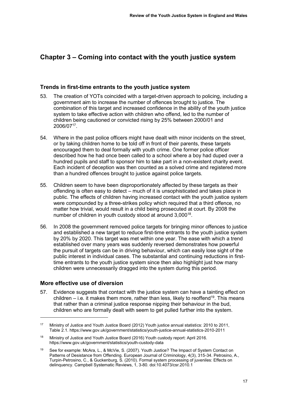# **Chapter 3 – Coming into contact with the youth justice system**

## **Trends in first-time entrants to the youth justice system**

- 53. The creation of YOTs coincided with a target-driven approach to policing, including a government aim to increase the number of offences brought to justice. The combination of this target and increased confidence in the ability of the youth justice system to take effective action with children who offend, led to the number of children being cautioned or convicted rising by 25% between 2000/01 and 2006/07<sup>17</sup> .
- 54. Where in the past police officers might have dealt with minor incidents on the street, or by taking children home to be told off in front of their parents, these targets encouraged them to deal formally with youth crime. One former police officer described how he had once been called to a school where a boy had duped over a hundred pupils and staff to sponsor him to take part in a non-existent charity event. Each incident of deception was then counted as a solved crime and registered more than a hundred offences brought to justice against police targets.
- 55. Children seem to have been disproportionately affected by these targets as their offending is often easy to detect – much of it is unsophisticated and takes place in public. The effects of children having increased contact with the youth justice system were compounded by a three-strikes policy which required that a third offence, no matter how trivial, would result in a child being prosecuted at court. By 2008 the number of children in youth custody stood at around 3,000<sup>18</sup>.
- 56. In 2008 the government removed police targets for bringing minor offences to justice and established a new target to reduce first-time entrants to the youth justice system by 20% by 2020. This target was met within one year. The ease with which a trend established over many years was suddenly reversed demonstrates how powerful the pursuit of targets can be in driving behaviour, which can easily lose sight of the public interest in individual cases. The substantial and continuing reductions in firsttime entrants to the youth justice system since then also highlight just how many children were unnecessarily dragged into the system during this period.

## **More effective use of diversion**

<u>.</u>

57. Evidence suggests that contact with the justice system can have a tainting effect on children – i.e. it makes them more, rather than less, likely to reoffend<sup>19</sup>. This means that rather than a criminal justice response nipping their behaviour in the bud, children who are formally dealt with seem to get pulled further into the system.

<sup>17</sup> Ministry of Justice and Youth Justice Board (2012) Youth justice annual statistics: 2010 to 2011, Table 2.1[. https://www.gov.uk/government/statistics/youth-justice-annual-statistics-2010-2011](https://www.gov.uk/government/statistics/youth-justice-annual-statistics-2010-2011) 

<sup>&</sup>lt;sup>18</sup> Ministry of Justice and Youth Justice Board (2016) Youth custody report: April 2016. <https://www.gov.uk/government/statistics/youth-custody-data>

<sup>19</sup> See for example: McAra, L., & McVie, S. (2007). Youth Justice? The Impact of System Contact on Patterns of Desistance from Offending. European Journal of Criminology, 4(3), 315-34. Petrosino, A., Turpin-Petrosino, C., & Guckenburg, S. (2010). Formal system processing of juveniles: Effects on delinquency. Campbell Systematic Reviews, 1, 3-80. doi:10.4073/csr.2010.1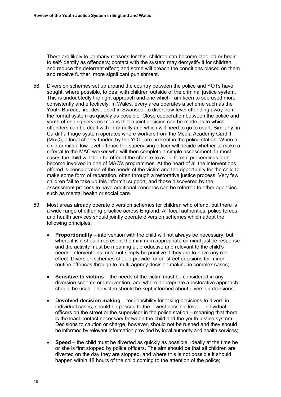There are likely to be many reasons for this: children can become labelled or begin to self-identify as offenders; contact with the system may demystify it for children and reduce the deterrent effect; and some will breach the conditions placed on them and receive further, more significant punishment.

- 58. Diversion schemes set up around the country between the police and YOTs have sought, where possible, to deal with children outside of the criminal justice system. This is undoubtedly the right approach and one which I am keen to see used more consistently and effectively. In Wales, every area operates a scheme such as the Youth Bureau, first developed in Swansea, to divert low-level offending away from the formal system as quickly as possible. Close cooperation between the police and youth offending services means that a joint decision can be made as to which offenders can be dealt with informally and which will need to go to court. Similarly, in Cardiff a triage system operates where workers from the Media Academy Cardiff (MAC), a local charity funded by the YOT, are present in the police station. When a child admits a low-level offence the supervising officer will decide whether to make a referral to the MAC worker who will then complete a simple assessment. In most cases the child will then be offered the chance to avoid formal proceedings and become involved in one of MAC's programmes. At the heart of all the interventions offered is consideration of the needs of the victim and the opportunity for the child to make some form of reparation, often through a restorative justice process. Very few children fail to take up this informal support, and those discovered by the assessment process to have additional concerns can be referred to other agencies such as mental health or social care.
- <span id="page-21-0"></span>59. Most areas already operate diversion schemes for children who offend, but there is a wide range of differing practice across England. All local authorities, police forces and health services should jointly operate diversion schemes which adopt the following principles:
	- **Proportionality** intervention with the child will not always be necessary, but where it is it should represent the minimum appropriate criminal justice response and the activity must be meaningful, productive and relevant to the child's needs. Interventions must not simply be punitive if they are to have any real effect. Diversion schemes should provide for on-street decisions for minor routine offences through to multi-agency decision making in complex cases;
	- **Sensitive to victims** the needs of the victim must be considered in any diversion scheme or intervention, and where appropriate a restorative approach should be used. The victim should be kept informed about diversion decisions;
	- **Devolved decision making** responsibility for taking decisions to divert, in individual cases, should be passed to the lowest possible level – individual officers on the street or the supervisor in the police station – meaning that there is the least contact necessary between the child and the youth justice system. Decisions to caution or charge, however, should not be rushed and they should be informed by relevant information provided by local authority and health services;
	- **Speed** the child must be diverted as quickly as possible, ideally at the time he or she is first stopped by police officers. The aim should be that all children are diverted on the day they are stopped, and where this is not possible it should happen within 48 hours of the child coming to the attention of the police;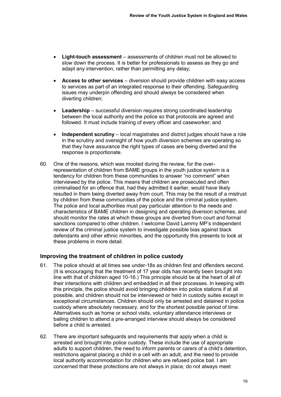- **Light-touch assessment** assessments of children must not be allowed to slow down the process. It is better for professionals to assess as they go and adapt any intervention, rather than permitting any delay;
- **Access to other services** diversion should provide children with easy access to services as part of an integrated response to their offending. Safeguarding issues may underpin offending and should always be considered when diverting children;
- **Leadership** successful diversion requires strong coordinated leadership between the local authority and the police so that protocols are agreed and followed. It must include training of every officer and caseworker; and
- **Independent scrutiny** local magistrates and district judges should have a role in the scrutiny and oversight of how youth diversion schemes are operating so that they have assurance the right types of cases are being diverted and the response is proportionate.
- 60. One of the reasons, which was mooted during the review, for the overrepresentation of children from BAME groups in the youth justice system is a tendency for children from these communities to answer "no comment" when interviewed by the police. This means that children are prosecuted and often criminalised for an offence that, had they admitted it earlier, would have likely resulted in them being diverted away from court. This may be the result of a mistrust by children from these communities of the police and the criminal justice system. The police and local authorities must pay particular attention to the needs and characteristics of BAME children in designing and operating diversion schemes, and should monitor the rates at which these groups are diverted from court and formal sanctions compared to other children. I welcome David Lammy MP's independent review of the criminal justice system to investigate possible bias against black defendants and other ethnic minorities, and the opportunity this presents to look at these problems in more detail.

## **Improving the treatment of children in police custody**

- 61. The police should at all times see under-18s as children first and offenders second. (It is encouraging that the treatment of 17 year olds has recently been brought into line with that of children aged 10-16.) This principle should be at the heart of all of their interactions with children and embedded in all their processes. In keeping with this principle, the police should avoid bringing children into police stations if at all possible, and children should not be interviewed or held in custody suites except in exceptional circumstances. Children should only be arrested and detained in police custody where absolutely necessary, and for the shortest possible period of time. Alternatives such as home or school visits, voluntary attendance interviews or bailing children to attend a pre-arranged interview should always be considered before a child is arrested.
- <span id="page-22-0"></span>62. There are important safeguards and requirements that apply when a child is arrested and brought into police custody. These include the use of appropriate adults to support children, the need to inform parents or carers of a child's detention, restrictions against placing a child in a cell with an adult, and the need to provide local authority accommodation for children who are refused police bail. I am concerned that these protections are not always in place, do not always meet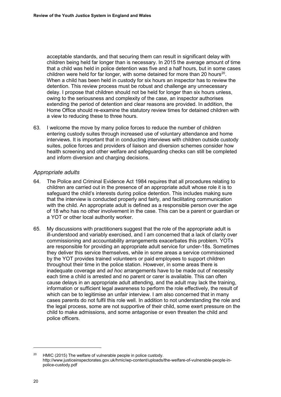acceptable standards, and that securing them can result in significant delay with children being held far longer than is necessary. In 2015 the average amount of time that a child was held in police detention was five and a half hours, but in some cases children were held for far longer, with some detained for more than 20 hours<sup>20</sup>. When a child has been held in custody for six hours an inspector has to review the detention. This review process must be robust and challenge any unnecessary delay. I propose that children should not be held for longer than six hours unless, owing to the seriousness and complexity of the case, an inspector authorises extending the period of detention and clear reasons are provided. In addition, the Home Office should re-examine the statutory review times for detained children with a view to reducing these to three hours.

63. I welcome the move by many police forces to reduce the number of children entering custody suites through increased use of voluntary attendance and home interviews. It is important that in conducting interviews with children outside custody suites, police forces and providers of liaison and diversion schemes consider how health screening and other welfare and safeguarding checks can still be completed and inform diversion and charging decisions.

#### *Appropriate adults*

- 64. The Police and Criminal Evidence Act 1984 requires that all procedures relating to children are carried out in the presence of an appropriate adult whose role it is to safeguard the child's interests during police detention. This includes making sure that the interview is conducted properly and fairly, and facilitating communication with the child. An appropriate adult is defined as a responsible person over the age of 18 who has no other involvement in the case. This can be a parent or guardian or a YOT or other local authority worker.
- 65. My discussions with practitioners suggest that the role of the appropriate adult is ill-understood and variably exercised, and I am concerned that a lack of clarity over commissioning and accountability arrangements exacerbates this problem. YOTs are responsible for providing an appropriate adult service for under-18s. Sometimes they deliver this service themselves, while in some areas a service commissioned by the YOT provides trained volunteers or paid employees to support children throughout their time in the police station. However, in some areas there is inadequate coverage and *ad hoc* arrangements have to be made out of necessity each time a child is arrested and no parent or carer is available. This can often cause delays in an appropriate adult attending, and the adult may lack the training, information or sufficient legal awareness to perform the role effectively, the result of which can be to legitimise an unfair interview. I am also concerned that in many cases parents do not fulfil this role well. In addition to not understanding the role and the legal process, some are not supportive of their child, some exert pressure on the child to make admissions, and some antagonise or even threaten the child and police officers.

 $\overline{a}$ 

<sup>&</sup>lt;sup>20</sup> HMIC (2015) The welfare of vulnerable people in police custody. [http://www.justiceinspectorates.gov.uk/hmic/wp-content/uploads/the-welfare-of-vulnerable-people-in](http://www.justiceinspectorates.gov.uk/hmic/wp-content/uploads/the-welfare-of-vulnerable-people-in-police-custody.pdf)[police-custody.pdf](http://www.justiceinspectorates.gov.uk/hmic/wp-content/uploads/the-welfare-of-vulnerable-people-in-police-custody.pdf)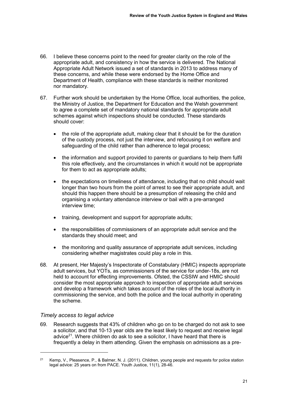- 66. I believe these concerns point to the need for greater clarity on the role of the appropriate adult, and consistency in how the service is delivered. The National Appropriate Adult Network issued a set of standards in 2013 to address many of these concerns, and while these were endorsed by the Home Office and Department of Health, compliance with these standards is neither monitored nor mandatory.
- <span id="page-24-0"></span>67. Further work should be undertaken by the Home Office, local authorities, the police, the Ministry of Justice, the Department for Education and the Welsh government to agree a complete set of mandatory national standards for appropriate adult schemes against which inspections should be conducted. These standards should cover:
	- the role of the appropriate adult, making clear that it should be for the duration of the custody process, not just the interview, and refocusing it on welfare and safeguarding of the child rather than adherence to legal process;
	- the information and support provided to parents or guardians to help them fulfil this role effectively, and the circumstances in which it would not be appropriate for them to act as appropriate adults;
	- the expectations on timeliness of attendance, including that no child should wait longer than two hours from the point of arrest to see their appropriate adult, and should this happen there should be a presumption of releasing the child and organising a voluntary attendance interview or bail with a pre-arranged interview time;
	- training, development and support for appropriate adults;
	- the responsibilities of commissioners of an appropriate adult service and the standards they should meet; and
	- the monitoring and quality assurance of appropriate adult services, including considering whether magistrates could play a role in this.
- <span id="page-24-1"></span>68. At present, Her Majesty's Inspectorate of Constabulary (HMIC) inspects appropriate adult services, but YOTs, as commissioners of the service for under-18s, are not held to account for effecting improvements. Ofsted, the CSSIW and HMIC should consider the most appropriate approach to inspection of appropriate adult services and develop a framework which takes account of the roles of the local authority in commissioning the service, and both the police and the local authority in operating the scheme.

## *Timely access to legal advice*

-

<span id="page-24-2"></span>69. Research suggests that 43% of children who go on to be charged do not ask to see a solicitor, and that 10-13 year olds are the least likely to request and receive legal advice<sup>21</sup>. Where children do ask to see a solicitor, I have heard that there is frequently a delay in them attending. Given the emphasis on admissions as a pre-

<sup>21</sup> Kemp, V., Pleasence, P., & Balmer, N. J. (2011). Children, young people and requests for police station legal advice: 25 years on from PACE. Youth Justice, 11(1), 28-46.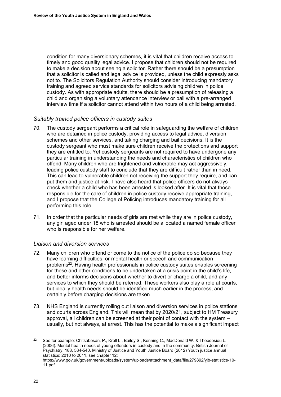condition for many diversionary schemes, it is vital that children receive access to timely and good quality legal advice. I propose that children should not be required to make a decision about seeing a solicitor. Rather there should be a presumption that a solicitor is called and legal advice is provided, unless the child expressly asks not to. The Solicitors Regulation Authority should consider introducing mandatory training and agreed service standards for solicitors advising children in police custody. As with appropriate adults, there should be a presumption of releasing a child and organising a voluntary attendance interview or bail with a pre-arranged interview time if a solicitor cannot attend within two hours of a child being arrested.

#### *Suitably trained police officers in custody suites*

- <span id="page-25-0"></span>70. The custody sergeant performs a critical role in safeguarding the welfare of children who are detained in police custody, providing access to legal advice, diversion schemes and other services, and taking charging and bail decisions. It is the custody sergeant who must make sure children receive the protections and support they are entitled to. Yet custody sergeants are not required to have undergone any particular training in understanding the needs and characteristics of children who offend. Many children who are frightened and vulnerable may act aggressively, leading police custody staff to conclude that they are difficult rather than in need. This can lead to vulnerable children not receiving the support they require, and can put them and justice at risk. I have also heard that police officers do not always check whether a child who has been arrested is looked after. It is vital that those responsible for the care of children in police custody receive appropriate training, and I propose that the College of Policing introduces mandatory training for all performing this role.
- <span id="page-25-1"></span>71. In order that the particular needs of girls are met while they are in police custody, any girl aged under 18 who is arrested should be allocated a named female officer who is responsible for her welfare.

#### *Liaison and diversion services*

- 72. Many children who offend or come to the notice of the police do so because they have learning difficulties, or mental health or speech and communication problems<sup>22</sup>. Having health professionals in police custody suites enables screening for these and other conditions to be undertaken at a crisis point in the child's life, and better informs decisions about whether to divert or charge a child, and any services to which they should be referred. These workers also play a role at courts, but ideally health needs should be identified much earlier in the process, and certainly before charging decisions are taken.
- 73. NHS England is currently rolling out liaison and diversion services in police stations and courts across England. This will mean that by 2020/21, subject to HM Treasury approval, all children can be screened at their point of contact with the system – usually, but not always, at arrest. This has the potential to make a significant impact

 $\overline{a}$ 

<sup>&</sup>lt;sup>22</sup> See for example: Chitsabesan, P., Kroll L., Bailey S., Kenning C., MacDonald W. & Theodosiou L. (2006). Mental health needs of young offenders in custody and in the community. British Journal of Psychiatry, 188, 534-540. Ministry of Justice and Youth Justice Board (2012) Youth justice annual statistics: 2010 to 2011, see chapter 12:

[https://www.gov.uk/government/uploads/system/uploads/attachment\\_data/file/279892/yjb-statistics-10-](https://www.gov.uk/government/uploads/system/uploads/attachment_data/file/279892/yjb-statistics-10-11.pdf) [11.pdf](https://www.gov.uk/government/uploads/system/uploads/attachment_data/file/279892/yjb-statistics-10-11.pdf)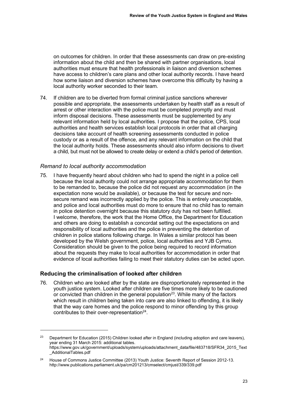on outcomes for children. In order that these assessments can draw on pre-existing information about the child and then be shared with partner organisations, local authorities must ensure that health professionals in liaison and diversion schemes have access to children's care plans and other local authority records. I have heard how some liaison and diversion schemes have overcome this difficulty by having a local authority worker seconded to their team.

<span id="page-26-0"></span>74. If children are to be diverted from formal criminal justice sanctions wherever possible and appropriate, the assessments undertaken by health staff as a result of arrest or other interaction with the police must be completed promptly and must inform disposal decisions. These assessments must be supplemented by any relevant information held by local authorities. I propose that the police, CPS, local authorities and health services establish local protocols in order that all charging decisions take account of health screening assessments conducted in police custody or as a result of the offence, and any relevant information on the child that the local authority holds. These assessments should also inform decisions to divert a child, but must not be allowed to create delay or extend a child's period of detention.

#### *Remand to local authority accommodation*

75. I have frequently heard about children who had to spend the night in a police cell because the local authority could not arrange appropriate accommodation for them to be remanded to, because the police did not request any accommodation (in the expectation none would be available), or because the test for secure and nonsecure remand was incorrectly applied by the police. This is entirely unacceptable. and police and local authorities must do more to ensure that no child has to remain in police detention overnight because this statutory duty has not been fulfilled. I welcome, therefore, the work that the Home Office, the Department for Education and others are doing to establish a concordat setting out the expectations on and responsibility of local authorities and the police in preventing the detention of children in police stations following charge. In Wales a similar protocol has been developed by the Welsh government, police, local authorities and YJB Cymru. Consideration should be given to the police being required to record information about the requests they make to local authorities for accommodation in order that evidence of local authorities failing to meet their statutory duties can be acted upon.

## **Reducing the criminalisation of looked after children**

<u>.</u>

76. Children who are looked after by the state are disproportionately represented in the youth justice system. Looked after children are five times more likely to be cautioned or convicted than children in the general population<sup>23</sup>. While many of the factors which result in children being taken into care are also linked to offending, it is likely that the way care homes and the police respond to minor offending by this group contributes to their over-representation $24$ .

<sup>&</sup>lt;sup>23</sup> Department for Education (2015) Children looked after in England (including adoption and care leavers), year ending 31 March 2015: additional tables. [https://www.gov.uk/government/uploads/system/uploads/attachment\\_data/file/483718/SFR34\\_2015\\_Text](https://www.gov.uk/government/uploads/system/uploads/attachment_data/file/483718/SFR34_2015_Text_AdditionalTables.pdf) [\\_AdditionalTables.pdf](https://www.gov.uk/government/uploads/system/uploads/attachment_data/file/483718/SFR34_2015_Text_AdditionalTables.pdf) 

<sup>&</sup>lt;sup>24</sup> House of Commons Justice Committee (2013) Youth Justice: Seventh Report of Session 2012-13. <http://www.publications.parliament.uk/pa/cm201213/cmselect/cmjust/339/339.pdf>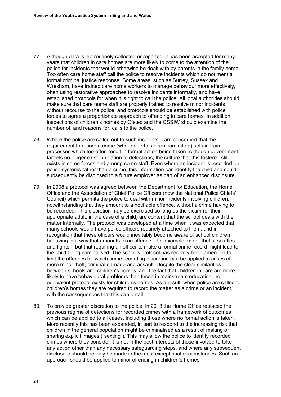- <span id="page-27-0"></span>77. Although data is not routinely collected or reported, it has been accepted for many years that children in care homes are more likely to come to the attention of the police for incidents that would otherwise be dealt with by parents in the family home. Too often care home staff call the police to resolve incidents which do not merit a formal criminal justice response. Some areas, such as Surrey, Sussex and Wrexham, have trained care home workers to manage behaviour more effectively, often using restorative approaches to resolve incidents informally, and have established protocols for when it is right to call the police. All local authorities should make sure that care home staff are properly trained to resolve minor incidents without recourse to the police, and protocols should be established with police forces to agree a proportionate approach to offending in care homes. In addition, inspections of children's homes by Ofsted and the CSSIW should examine the number of, and reasons for, calls to the police.
- 78. Where the police are called out to such incidents, I am concerned that the requirement to record a crime (where one has been committed) sets in train processes which too often result in formal action being taken. Although government targets no longer exist in relation to detections, the culture that this fostered still exists in some forces and among some staff. Even where an incident is recorded on police systems rather than a crime, this information can identify the child and could subsequently be disclosed to a future employer as part of an enhanced disclosure.
- 79. In 2008 a protocol was agreed between the Department for Education, the Home Office and the Association of Chief Police Officers (now the National Police Chiefs' Council) which permits the police to deal with minor incidents involving children, notwithstanding that they amount to a notifiable offence, without a crime having to be recorded. This discretion may be exercised so long as the victim (or their appropriate adult, in the case of a child) are content that the school deals with the matter internally. The protocol was developed at a time when it was expected that many schools would have police officers routinely attached to them, and in recognition that these officers would inevitably become aware of school children behaving in a way that amounts to an offence – for example, minor thefts, scuffles and fights – but that requiring an officer to make a formal crime record might lead to the child being criminalised. The schools protocol has recently been amended to limit the offences for which crime recording discretion can be applied to cases of more minor theft, criminal damage and assault. Despite the clear similarities between schools and children's homes, and the fact that children in care are more likely to have behavioural problems than those in mainstream education, no equivalent protocol exists for children's homes. As a result, when police are called to children's homes they are required to record the matter as a crime or an incident, with the consequences that this can entail.
- 80. To provide greater discretion to the police, in 2013 the Home Office replaced the previous regime of detections for recorded crimes with a framework of outcomes which can be applied to all cases, including those where no formal action is taken. More recently this has been expanded, in part to respond to the increasing risk that children in the general population might be criminalised as a result of making or sharing explicit images ("sexting"). This may allow the police to identify recorded crimes where they consider it is not in the best interests of those involved to take any action other than any necessary safeguarding steps, and where any subsequent disclosure should be only be made in the most exceptional circumstances. Such an approach should be applied to minor offending in children's homes.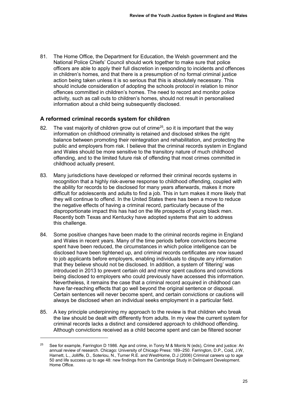<span id="page-28-0"></span>81. The Home Office, the Department for Education, the Welsh government and the National Police Chiefs' Council should work together to make sure that police officers are able to apply their full discretion in responding to incidents and offences in children's homes, and that there is a presumption of no formal criminal justice action being taken unless it is so serious that this is absolutely necessary. This should include consideration of adopting the schools protocol in relation to minor offences committed in children's homes. The need to record and monitor police activity, such as call outs to children's homes, should not result in personalised information about a child being subsequently disclosed.

## **A reformed criminal records system for children**

- 82. The vast majority of children grow out of crime<sup>25</sup>, so it is important that the way information on childhood criminality is retained and disclosed strikes the right balance between promoting their reintegration and rehabilitation, and protecting the public and employers from risk. I believe that the criminal records system in England and Wales should be more sensitive to the transitory nature of much childhood offending, and to the limited future risk of offending that most crimes committed in childhood actually present.
- 83. Many jurisdictions have developed or reformed their criminal records systems in recognition that a highly risk-averse response to childhood offending, coupled with the ability for records to be disclosed for many years afterwards, makes it more difficult for adolescents and adults to find a job. This in turn makes it more likely that they will continue to offend. In the United States there has been a move to reduce the negative effects of having a criminal record, particularly because of the disproportionate impact this has had on the life prospects of young black men. Recently both Texas and Kentucky have adopted systems that aim to address this challenge.
- 84. Some positive changes have been made to the criminal records regime in England and Wales in recent years. Many of the time periods before convictions become spent have been reduced, the circumstances in which police intelligence can be disclosed have been tightened up, and criminal records certificates are now issued to job applicants before employers, enabling individuals to dispute any information that they believe should not be disclosed. In addition, a system of 'filtering' was introduced in 2013 to prevent certain old and minor spent cautions and convictions being disclosed to employers who could previously have accessed this information. Nevertheless, it remains the case that a criminal record acquired in childhood can have far-reaching effects that go well beyond the original sentence or disposal. Certain sentences will never become spent, and certain convictions or cautions will always be disclosed when an individual seeks employment in a particular field.
- <span id="page-28-1"></span>85. A key principle underpinning my approach to the review is that children who break the law should be dealt with differently from adults. In my view the current system for criminal records lacks a distinct and considered approach to childhood offending. Although convictions received as a child become spent and can be filtered sooner

<u>.</u>

<sup>&</sup>lt;sup>25</sup> See for example, Farrington D 1986. Age and crime, in Tonry M & Morris N (eds), Crime and justice: An annual review of research. Chicago: University of Chicago Press: 189–250. Farrington, D.P., Coid, J.W, Harnett, L., Jolliffe, D., Soteriou, N., Turner R.E. and WestHome, D.J (2006) Criminal careers up to age 50 and life success up to age 48: new findings from the Cambridge Study in Delinquent Development. Home Office.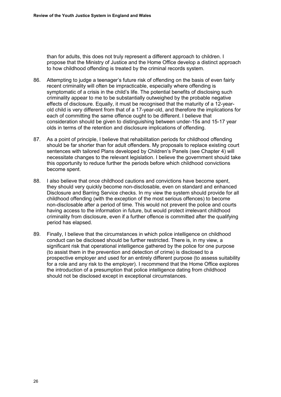than for adults, this does not truly represent a different approach to children. I propose that the Ministry of Justice and the Home Office develop a distinct approach to how childhood offending is treated by the criminal records system.

- <span id="page-29-0"></span>86. Attempting to judge a teenager's future risk of offending on the basis of even fairly recent criminality will often be impracticable, especially where offending is symptomatic of a crisis in the child's life. The potential benefits of disclosing such criminality appear to me to be substantially outweighed by the probable negative effects of disclosure. Equally, it must be recognised that the maturity of a 12-yearold child is very different from that of a 17-year-old, and therefore the implications for each of committing the same offence ought to be different. I believe that consideration should be given to distinguishing between under-15s and 15-17 year olds in terms of the retention and disclosure implications of offending.
- <span id="page-29-1"></span>87. As a point of principle, I believe that rehabilitation periods for childhood offending should be far shorter than for adult offenders. My proposals to replace existing court sentences with tailored Plans developed by Children's Panels (see [Chapter 4\)](#page-30-0) will necessitate changes to the relevant legislation. I believe the government should take this opportunity to reduce further the periods before which childhood convictions become spent.
- <span id="page-29-2"></span>88. I also believe that once childhood cautions and convictions have become spent, they should very quickly become non-disclosable, even on standard and enhanced Disclosure and Barring Service checks. In my view the system should provide for all childhood offending (with the exception of the most serious offences) to become non-disclosable after a period of time. This would not prevent the police and courts having access to the information in future, but would protect irrelevant childhood criminality from disclosure, even if a further offence is committed after the qualifying period has elapsed.
- <span id="page-29-3"></span>89. Finally, I believe that the circumstances in which police intelligence on childhood conduct can be disclosed should be further restricted. There is, in my view, a significant risk that operational intelligence gathered by the police for one purpose (to assist them in the prevention and detection of crime) is disclosed to a prospective employer and used for an entirely different purpose (to assess suitability for a role and any risk to the employer). I recommend that the Home Office explores the introduction of a presumption that police intelligence dating from childhood should not be disclosed except in exceptional circumstances.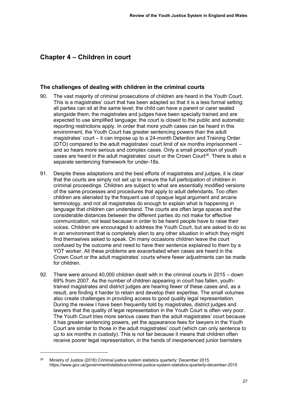# <span id="page-30-0"></span>**Chapter 4 – Children in court**

## **The challenges of dealing with children in the criminal courts**

- 90. The vast majority of criminal prosecutions of children are heard in the Youth Court. This is a magistrates' court that has been adapted so that it is a less formal setting: all parties can sit at the same level; the child can have a parent or carer seated alongside them; the magistrates and judges have been specially trained and are expected to use simplified language; the court is closed to the public and automatic reporting restrictions apply. In order that more youth cases can be heard in this environment, the Youth Court has greater sentencing powers than the adult magistrates' court – it can impose up to a 24-month Detention and Training Order (DTO) compared to the adult magistrates' court limit of six months imprisonment – and so hears more serious and complex cases. Only a small proportion of youth cases are heard in the adult magistrates' court or the Crown Court<sup>26</sup>. There is also a separate sentencing framework for under-18s.
- 91. Despite these adaptations and the best efforts of magistrates and judges, it is clear that the courts are simply not set up to ensure the full participation of children in criminal proceedings. Children are subject to what are essentially modified versions of the same processes and procedures that apply to adult defendants. Too often children are alienated by the frequent use of opaque legal argument and arcane terminology, and not all magistrates do enough to explain what is happening in language that children can understand. The courts are often large spaces and the considerable distances between the different parties do not make for effective communication, not least because in order to be heard people have to raise their voices. Children are encouraged to address the Youth Court, but are asked to do so in an environment that is completely alien to any other situation in which they might find themselves asked to speak. On many occasions children leave the court confused by the outcome and need to have their sentence explained to them by a YOT worker. All these problems are exacerbated when cases are heard in the Crown Court or the adult magistrates' courts where fewer adjustments can be made for children.
- 92. There were around 40,000 children dealt with in the criminal courts in 2015 down 69% from 2007. As the number of children appearing in court has fallen, youthtrained magistrates and district judges are hearing fewer of these cases and, as a result, are finding it harder to retain and develop their expertise. The small volumes also create challenges in providing access to good quality legal representation. During the review I have been frequently told by magistrates, district judges and lawyers that the quality of legal representation in the Youth Court is often very poor. The Youth Court tries more serious cases than the adult magistrates' court because it has greater sentencing powers, yet the appearance fees for lawyers in the Youth Court are similar to those in the adult magistrates' court (which can only sentence to up to six months in custody). This is not fair because it means that children often receive poorer legal representation, in the hands of inexperienced junior barristers

-

<sup>&</sup>lt;sup>26</sup> Ministry of Justice (2016) Criminal justice system statistics quarterly: December 2015. <https://www.gov.uk/government/statistics/criminal-justice-system-statistics-quarterly-december-2015>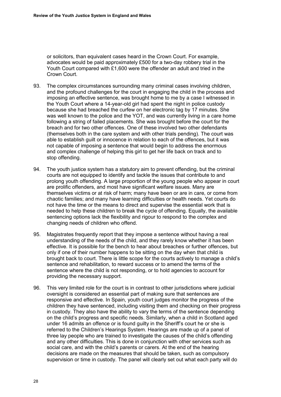or solicitors, than equivalent cases heard in the Crown Court. For example, advocates would be paid approximately £500 for a two-day robbery trial in the Youth Court compared with £1,600 were the offender an adult and tried in the Crown Court.

- 93. The complex circumstances surrounding many criminal cases involving children, and the profound challenges for the court in engaging the child in the process and imposing an effective sentence, was brought home to me by a case I witnessed in the Youth Court where a 14-year-old girl had spent the night in police custody because she had breached the curfew on her electronic tag by 17 minutes. She was well known to the police and the YOT, and was currently living in a care home following a string of failed placements. She was brought before the court for the breach and for two other offences. One of these involved two other defendants (themselves both in the care system and with other trials pending). The court was able to establish guilt or innocence in relation to each of the offences, but it was not capable of imposing a sentence that would begin to address the enormous and complex challenge of helping this girl to get her life back on track and to stop offending.
- 94. The youth justice system has a statutory aim to prevent offending, but the criminal courts are not equipped to identify and tackle the issues that contribute to and prolong youth offending. A large proportion of the young people who appear in court are prolific offenders, and most have significant welfare issues. Many are themselves victims or at risk of harm; many have been or are in care, or come from chaotic families; and many have learning difficulties or health needs. Yet courts do not have the time or the means to direct and supervise the essential work that is needed to help these children to break the cycle of offending. Equally, the available sentencing options lack the flexibility and rigour to respond to the complex and changing needs of children who offend.
- 95. Magistrates frequently report that they impose a sentence without having a real understanding of the needs of the child, and they rarely know whether it has been effective. It is possible for the bench to hear about breaches or further offences, but only if one of their number happens to be sitting on the day when that child is brought back to court. There is little scope for the courts actively to manage a child's sentence and rehabilitation, to reward success or to amend the terms of the sentence where the child is not responding, or to hold agencies to account for providing the necessary support.
- 96. This very limited role for the court is in contrast to other jurisdictions where judicial oversight is considered an essential part of making sure that sentences are responsive and effective. In Spain, youth court judges monitor the progress of the children they have sentenced, including visiting them and checking on their progress in custody. They also have the ability to vary the terms of the sentence depending on the child's progress and specific needs. Similarly, when a child in Scotland aged under 16 admits an offence or is found guilty in the Sheriff's court he or she is referred to the Children's Hearings System. Hearings are made up of a panel of three lay people who are trained to investigate the causes of the child's offending and any other difficulties. This is done in conjunction with other services such as social care, and with the child's parents or carers. At the end of the hearing decisions are made on the measures that should be taken, such as compulsory supervision or time in custody. The panel will clearly set out what each party will do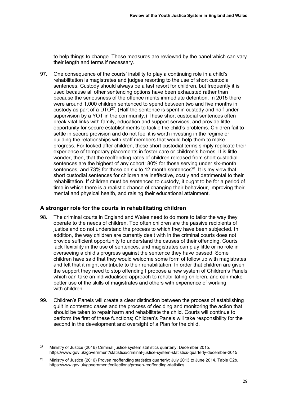to help things to change. These measures are reviewed by the panel which can vary their length and terms if necessary.

97. One consequence of the courts' inability to play a continuing role in a child's rehabilitation is magistrates and judges resorting to the use of short custodial sentences. Custody should always be a last resort for children, but frequently it is used because all other sentencing options have been exhausted rather than because the seriousness of the offence merits immediate detention. In 2015 there were around 1,000 children sentenced to spend between two and five months in custody as part of a  $DTO^{27}$ . (Half the sentence is spent in custody and half under supervision by a YOT in the community.) These short custodial sentences often break vital links with family, education and support services, and provide little opportunity for secure establishments to tackle the child's problems. Children fail to settle in secure provision and do not feel it is worth investing in the regime or building the relationships with staff members that would help them to make progress. For looked after children, these short custodial terms simply replicate their experience of temporary placements in foster care or children's homes. It is little wonder, then, that the reoffending rates of children released from short custodial sentences are the highest of any cohort: 80% for those serving under six-month sentences, and 73% for those on six to 12-month sentences<sup>28</sup>. It is my view that short custodial sentences for children are ineffective, costly and detrimental to their rehabilitation. If children must be sentenced to custody, it ought to be for a period of time in which there is a realistic chance of changing their behaviour, improving their mental and physical health, and raising their educational attainment.

## **A stronger role for the courts in rehabilitating children**

-

- <span id="page-32-0"></span>98. The criminal courts in England and Wales need to do more to tailor the way they operate to the needs of children. Too often children are the passive recipients of justice and do not understand the process to which they have been subjected. In addition, the way children are currently dealt with in the criminal courts does not provide sufficient opportunity to understand the causes of their offending. Courts lack flexibility in the use of sentences, and magistrates can play little or no role in overseeing a child's progress against the sentence they have passed. Some children have said that they would welcome some form of follow up with magistrates and felt that it might contribute to their rehabilitation. In order that children are given the support they need to stop offending I propose a new system of Children's Panels which can take an individualised approach to rehabilitating children, and can make better use of the skills of magistrates and others with experience of working with children
- 99. Children's Panels will create a clear distinction between the process of establishing guilt in contested cases and the process of deciding and monitoring the action that should be taken to repair harm and rehabilitate the child. Courts will continue to perform the first of these functions; Children's Panels will take responsibility for the second in the development and oversight of a Plan for the child.

<sup>&</sup>lt;sup>27</sup> Ministry of Justice (2016) Criminal justice system statistics quarterly: December 2015. <https://www.gov.uk/government/statistics/criminal-justice-system-statistics-quarterly-december-2015>

<sup>&</sup>lt;sup>28</sup> Ministry of Justice (2016) Proven reoffending statistics quarterly: July 2013 to June 2014, Table C2b. <https://www.gov.uk/government/collections/proven-reoffending-statistics>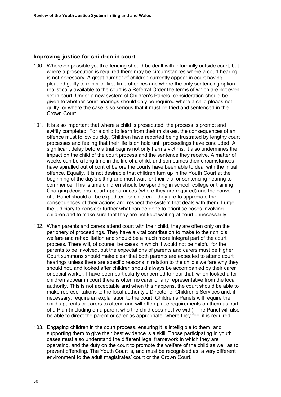## **Improving justice for children in court**

- 100. Wherever possible youth offending should be dealt with informally outside court; but where a prosecution is required there may be circumstances where a court hearing is not necessary. A great number of children currently appear in court having pleaded guilty to minor or first-time offences and where the only sentencing option realistically available to the court is a Referral Order the terms of which are not even set in court. Under a new system of Children's Panels, consideration should be given to whether court hearings should only be required where a child pleads not guilty, or where the case is so serious that it must be tried and sentenced in the Crown Court.
- <span id="page-33-0"></span>101. It is also important that where a child is prosecuted, the process is prompt and swiftly completed. For a child to learn from their mistakes, the consequences of an offence must follow quickly. Children have reported being frustrated by lengthy court processes and feeling that their life is on hold until proceedings have concluded. A significant delay before a trial begins not only harms victims, it also undermines the impact on the child of the court process and the sentence they receive. A matter of weeks can be a long time in the life of a child, and sometimes their circumstances have spiralled out of control before the courts have been able to deal with the initial offence. Equally, it is not desirable that children turn up in the Youth Court at the beginning of the day's sitting and must wait for their trial or sentencing hearing to commence. This is time children should be spending in school, college or training. Charging decisions, court appearances (where they are required) and the convening of a Panel should all be expedited for children if they are to appreciate the consequences of their actions and respect the system that deals with them. I urge the judiciary to consider further what can be done to prioritise cases involving children and to make sure that they are not kept waiting at court unnecessarily.
- <span id="page-33-1"></span>102. When parents and carers attend court with their child, they are often only on the periphery of proceedings. They have a vital contribution to make to their child's welfare and rehabilitation and should be a much more integral part of the court process. There will, of course, be cases in which it would not be helpful for the parents to be involved, but the expectations of parents and carers must be higher. Court summons should make clear that both parents are expected to attend court hearings unless there are specific reasons in relation to the child's welfare why they should not, and looked after children should always be accompanied by their carer or social worker. I have been particularly concerned to hear that, when looked after children appear in court there is often no carer or any representative from the local authority. This is not acceptable and when this happens, the court should be able to make representations to the local authority's Director of Children's Services and, if necessary, require an explanation to the court. Children's Panels will require the child's parents or carers to attend and will often place requirements on them as part of a Plan (including on a parent who the child does not live with). The Panel will also be able to direct the parent or carer as appropriate, where they feel it is required.
- 103. Engaging children in the court process, ensuring it is intelligible to them, and supporting them to give their best evidence is a skill. Those participating in youth cases must also understand the different legal framework in which they are operating, and the duty on the court to promote the welfare of the child as well as to prevent offending. The Youth Court is, and must be recognised as, a very different environment to the adult magistrates' court or the Crown Court.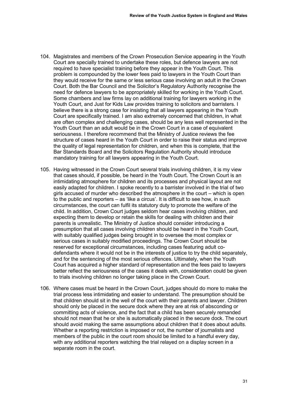- <span id="page-34-0"></span>104. Magistrates and members of the Crown Prosecution Service appearing in the Youth Court are specially trained to undertake these roles, but defence lawyers are not required to have specialist training before they appear in the Youth Court. This problem is compounded by the lower fees paid to lawyers in the Youth Court than they would receive for the same or less serious case involving an adult in the Crown Court. Both the Bar Council and the Solicitor's Regulatory Authority recognise the need for defence lawyers to be appropriately skilled for working in the Youth Court. Some chambers and law firms lay on additional training for lawyers working in the Youth Court, and Just for Kids Law provides training to solicitors and barristers. I believe there is a strong case for insisting that all lawyers appearing in the Youth Court are specifically trained. I am also extremely concerned that children, in what are often complex and challenging cases, should be any less well represented in the Youth Court than an adult would be in the Crown Court in a case of equivalent seriousness. I therefore recommend that the Ministry of Justice reviews the fee structure of cases heard in the Youth Court in order to raise their status and improve the quality of legal representation for children, and when this is complete, that the Bar Standards Board and the Solicitors Regulation Authority should introduce mandatory training for all lawyers appearing in the Youth Court.
- <span id="page-34-1"></span>105. Having witnessed in the Crown Court several trials involving children, it is my view that cases should, if possible, be heard in the Youth Court. The Crown Court is an intimidating atmosphere for children and its processes and physical layout are not easily adapted for children. I spoke recently to a barrister involved in the trial of two girls accused of murder who described the atmosphere in the court – which is open to the public and reporters – as 'like a circus'. It is difficult to see how, in such circumstances, the court can fulfil its statutory duty to promote the welfare of the child. In addition, Crown Court judges seldom hear cases involving children, and expecting them to develop or retain the skills for dealing with children and their parents is unrealistic. The Ministry of Justice should consider introducing a presumption that all cases involving children should be heard in the Youth Court, with suitably qualified judges being brought in to oversee the most complex or serious cases in suitably modified proceedings. The Crown Court should be reserved for exceptional circumstances, including cases featuring adult codefendants where it would not be in the interests of justice to try the child separately, and for the sentencing of the most serious offences. Ultimately, when the Youth Court has acquired a higher standard of representation and the fees paid to lawyers better reflect the seriousness of the cases it deals with, consideration could be given to trials involving children no longer taking place in the Crown Court.
- 106. Where cases must be heard in the Crown Court, judges should do more to make the trial process less intimidating and easier to understand. The presumption should be that children should sit in the well of the court with their parents and lawyer. Children should only be placed in the secure dock where they are at risk of absconding or committing acts of violence, and the fact that a child has been securely remanded should not mean that he or she is automatically placed in the secure dock. The court should avoid making the same assumptions about children that it does about adults. Whether a reporting restriction is imposed or not, the number of journalists and members of the public in the court room should be limited to a handful every day, with any additional reporters watching the trial relayed on a display screen in a separate room in the court.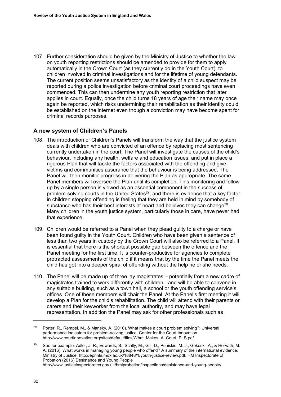<span id="page-35-0"></span>107. Further consideration should be given by the Ministry of Justice to whether the law on youth reporting restrictions should be amended to provide for them to apply automatically in the Crown Court (as they currently do in the Youth Court), to children involved in criminal investigations and for the lifetime of young defendants. The current position seems unsatisfactory as the identity of a child suspect may be reported during a police investigation before criminal court proceedings have even commenced. This can then undermine any youth reporting restriction that later applies in court. Equally, once the child turns 18 years of age their name may once again be reported, which risks undermining their rehabilitation as their identity could be established on the internet even though a conviction may have become spent for criminal records purposes.

# **A new system of Children's Panels**

- 108. The introduction of Children's Panels will transform the way that the justice system deals with children who are convicted of an offence by replacing most sentencing currently undertaken in the court. The Panel will investigate the causes of the child's behaviour, including any health, welfare and education issues, and put in place a rigorous Plan that will tackle the factors associated with the offending and give victims and communities assurance that the behaviour is being addressed. The Panel will then monitor progress in delivering the Plan as appropriate. The same Panel members will oversee the Plan until its completion. This monitoring and follow up by a single person is viewed as an essential component in the success of problem-solving courts in the United States<sup>29</sup>, and there is evidence that a key factor in children stopping offending is feeling that they are held in mind by somebody of substance who has their best interests at heart and believes they can change<sup>30</sup>. Many children in the youth justice system, particularly those in care, have never had that experience.
- <span id="page-35-1"></span>109. Children would be referred to a Panel when they plead guilty to a charge or have been found guilty in the Youth Court. Children who have been given a sentence of less than two years in custody by the Crown Court will also be referred to a Panel. It is essential that there is the shortest possible gap between the offence and the Panel meeting for the first time. It is counter-productive for agencies to complete protracted assessments of the child if it means that by the time the Panel meets the child has got into a deeper spiral of offending without the help he or she needs.
- <span id="page-35-2"></span>110. The Panel will be made up of three lay magistrates – potentially from a new cadre of magistrates trained to work differently with children - and will be able to convene in any suitable building, such as a town hall, a school or the youth offending service's offices. One of these members will chair the Panel. At the Panel's first meeting it will develop a Plan for the child's rehabilitation. The child will attend with their parents or carers and their keyworker from the local authority, and may have legal representation. In addition the Panel may ask for other professionals such as

 $\overline{a}$ 

Porter, R., Rempel, M., & Mansky, A. (2010). What makes a court problem solving?: Universal performance indicators for problem-solving justice. Center for the Court Innovation. [http://www.courtinnovation.org/sites/default/files/What\\_Makes\\_A\\_Court\\_P\\_S.pdf](http://www.courtinnovation.org/sites/default/files/What_Makes_A_Court_P_S.pdf) 

<sup>30</sup> See for example: Adler, J. R., Edwards, S., Scally, M., Gill, D., Puniskis, M. J., Gekoski, A., & Horvath, M. A. (2016). What works in managing young people who offend? A summary of the international evidence. Ministry of Justice. [http://eprints.mdx.ac.uk/18848/1/youth-justice-review.pdf.](http://eprints.mdx.ac.uk/18848/1/youth-justice-review.pdf) HM Inspectorate of Probation (2016) Desistance and Young People <http://www.justiceinspectorates.gov.uk/hmiprobation/inspections/desistance-and-young-people/>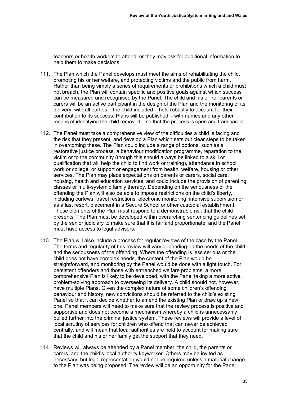teachers or health workers to attend, or they may ask for additional information to help them to make decisions.

- <span id="page-36-0"></span>111. The Plan which the Panel develops must meet the aims of rehabilitating the child, promoting his or her welfare, and protecting victims and the public from harm. Rather than being simply a series of requirements or prohibitions which a child must not breach, the Plan will contain specific and positive goals against which success can be measured and recognised by the Panel. The child and his or her parents or carers will be an active participant in the design of the Plan and the monitoring of its delivery, with all parties – the child included – held robustly to account for their contribution to its success. Plans will be published – with names and any other means of identifying the child removed – so that the process is open and transparent.
- <span id="page-36-1"></span>112. The Panel must take a comprehensive view of the difficulties a child is facing and the risk that they present, and develop a Plan which sets out clear steps to be taken in overcoming these. The Plan could include a range of options, such as a restorative justice process, a behaviour modification programme, reparation to the victim or to the community (though this should always be linked to a skill or qualification that will help the child to find work or training), attendance in school, work or college, or support or engagement from health, welfare, housing or other services. The Plan may place expectations on parents or carers, social care, housing, health and education services, and could include the provision of parenting classes or multi-systemic family therapy. Depending on the seriousness of the offending the Plan will also be able to impose restrictions on the child's liberty, including curfews, travel restrictions, electronic monitoring, intensive supervision or, as a last resort, placement in a Secure School or other custodial establishment. These elements of the Plan must respond to a demonstrable risk that the child presents. The Plan must be developed within overarching sentencing guidelines set by the senior judiciary to make sure that it is fair and proportionate, and the Panel must have access to legal advisers.
- <span id="page-36-2"></span>113. The Plan will also include a process for regular reviews of the case by the Panel. The terms and regularity of this review will vary depending on the needs of the child and the seriousness of the offending. Where the offending is less serious or the child does not have complex needs, the content of the Plan would be straightforward, and monitoring by the Panel would be done with a light touch. For persistent offenders and those with entrenched welfare problems, a more comprehensive Plan is likely to be developed, with the Panel taking a more active, problem-solving approach to overseeing its delivery. A child should not, however, have multiple Plans. Given the complex nature of some children's offending behaviour and history, new convictions should be referred to the child's existing Panel so that it can decide whether to amend the existing Plan or draw up a new one. Panel members will need to make sure that the review process is positive and supportive and does not become a mechanism whereby a child is unnecessarily pulled further into the criminal justice system. These reviews will provide a level of local scrutiny of services for children who offend that can never be achieved centrally, and will mean that local authorities are held to account for making sure that the child and his or her family get the support that they need.
- 114. Reviews will always be attended by a Panel member, the child, the parents or carers, and the child's local authority keyworker. Others may be invited as necessary, but legal representation would not be required unless a material change to the Plan was being proposed. The review will be an opportunity for the Panel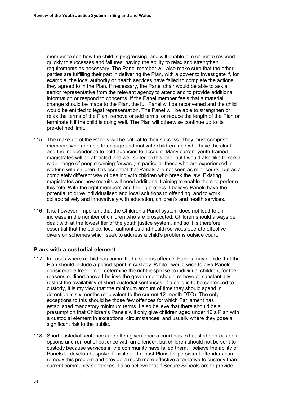member to see how the child is progressing, and will enable him or her to respond quickly to successes and failures, having the ability to relax and strengthen requirements as necessary. The Panel member will also make sure that the other parties are fulfilling their part in delivering the Plan, with a power to investigate if, for example, the local authority or health services have failed to complete the actions they agreed to in the Plan. If necessary, the Panel chair would be able to ask a senior representative from the relevant agency to attend and to provide additional information or respond to concerns. If the Panel member feels that a material change should be made to the Plan, the full Panel will be reconvened and the child would be entitled to legal representation. The Panel will be able to strengthen or relax the terms of the Plan, remove or add terms, or reduce the length of the Plan or terminate it if the child is doing well. The Plan will otherwise continue up to its pre-defined limit.

- 115. The make-up of the Panels will be critical to their success. They must comprise members who are able to engage and motivate children, and who have the clout and the independence to hold agencies to account. Many current youth-trained magistrates will be attracted and well suited to this role, but I would also like to see a wider range of people coming forward, in particular those who are experienced in working with children. It is essential that Panels are not seen as mini-courts, but as a completely different way of dealing with children who break the law. Existing magistrates and new recruits will need additional training to enable them to perform this role. With the right members and the right ethos, I believe Panels have the potential to drive individualised and local solutions to offending, and to work collaboratively and innovatively with education, children's and health services.
- 116. It is, however, important that the Children's Panel system does not lead to an increase in the number of children who are prosecuted. Children should always be dealt with at the lowest tier of the youth justice system, and so it is therefore essential that the police, local authorities and health services operate effective diversion schemes which seek to address a child's problems outside court.

## **Plans with a custodial element**

- <span id="page-37-0"></span>117. In cases where a child has committed a serious offence, Panels may decide that the Plan should include a period spent in custody. While I would wish to give Panels considerable freedom to determine the right response to individual children, for the reasons outlined above I believe the government should remove or substantially restrict the availability of short custodial sentences. If a child is to be sentenced to custody, it is my view that the minimum amount of time they should spend in detention is six months (equivalent to the current 12-month DTO). The only exceptions to this should be those few offences for which Parliament has established mandatory minimum terms. I also believe that there should be a presumption that Children's Panels will only give children aged under 16 a Plan with a custodial element in exceptional circumstances, and usually where they pose a significant risk to the public.
- 118. Short custodial sentences are often given once a court has exhausted non-custodial options and run out of patience with an offender, but children should not be sent to custody because services in the community have failed them. I believe the ability of Panels to develop bespoke, flexible and robust Plans for persistent offenders can remedy this problem and provide a much more effective alternative to custody than current community sentences. I also believe that if Secure Schools are to provide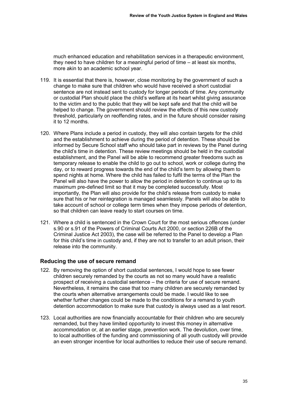much enhanced education and rehabilitation services in a therapeutic environment, they need to have children for a meaningful period of time – at least six months, more akin to an academic school year.

- <span id="page-38-0"></span>119. It is essential that there is, however, close monitoring by the government of such a change to make sure that children who would have received a short custodial sentence are not instead sent to custody for longer periods of time. Any community or custodial Plan should place the child's welfare at its heart whilst giving assurance to the victim and to the public that they will be kept safe and that the child will be helped to change. The government should review the effects of this new custody threshold, particularly on reoffending rates, and in the future should consider raising it to 12 months.
- 120. Where Plans include a period in custody, they will also contain targets for the child and the establishment to achieve during the period of detention. These should be informed by Secure School staff who should take part in reviews by the Panel during the child's time in detention. These review meetings should be held in the custodial establishment, and the Panel will be able to recommend greater freedoms such as temporary release to enable the child to go out to school, work or college during the day, or to reward progress towards the end of the child's term by allowing them to spend nights at home. Where the child has failed to fulfil the terms of the Plan the Panel will also have the power to allow the period in detention to continue up to its maximum pre-defined limit so that it may be completed successfully. Most importantly, the Plan will also provide for the child's release from custody to make sure that his or her reintegration is managed seamlessly. Panels will also be able to take account of school or college term times when they impose periods of detention, so that children can leave ready to start courses on time.
- 121. Where a child is sentenced in the Crown Court for the most serious offences (under s.90 or s.91 of the Powers of Criminal Courts Act 2000, or section 226B of the Criminal Justice Act 2003), the case will be referred to the Panel to develop a Plan for this child's time in custody and, if they are not to transfer to an adult prison, their release into the community.

#### **Reducing the use of secure remand**

- <span id="page-38-1"></span>122. By removing the option of short custodial sentences, I would hope to see fewer children securely remanded by the courts as not so many would have a realistic prospect of receiving a custodial sentence – the criteria for use of secure remand. Nevertheless, it remains the case that too many children are securely remanded by the courts when alternative arrangements could be made. I would like to see whether further changes could be made to the conditions for a remand to youth detention accommodation to make sure that custody is always used as a last resort.
- 123. Local authorities are now financially accountable for their children who are securely remanded, but they have limited opportunity to invest this money in alternative accommodation or, at an earlier stage, prevention work. The devolution, over time, to local authorities of the funding and commissioning of all youth custody will provide an even stronger incentive for local authorities to reduce their use of secure remand.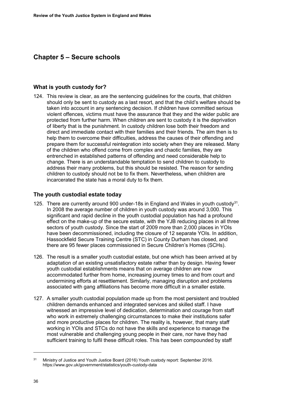# <span id="page-39-0"></span>**Chapter 5 – Secure schools**

#### **What is youth custody for?**

124. This review is clear, as are the sentencing guidelines for the courts, that children should only be sent to custody as a last resort, and that the child's welfare should be taken into account in any sentencing decision. If children have committed serious violent offences, victims must have the assurance that they and the wider public are protected from further harm. When children are sent to custody it is the deprivation of liberty that is the punishment. In custody children lose both their freedom and direct and immediate contact with their families and their friends. The aim then is to help them to overcome their difficulties, address the causes of their offending and prepare them for successful reintegration into society when they are released. Many of the children who offend come from complex and chaotic families, they are entrenched in established patterns of offending and need considerable help to change. There is an understandable temptation to send children to custody to address their many problems, but this should be resisted. The reason for sending children to custody should not be to fix them. Nevertheless, when children are incarcerated the state has a moral duty to fix them.

#### **The youth custodial estate today**

- 125. There are currently around 900 under-18s in England and Wales in youth custody<sup>31</sup>. In 2008 the average number of children in youth custody was around 3,000. This significant and rapid decline in the youth custodial population has had a profound effect on the make-up of the secure estate, with the YJB reducing places in all three sectors of youth custody. Since the start of 2009 more than 2,000 places in YOIs have been decommissioned, including the closure of 12 separate YOIs. In addition, Hassockfield Secure Training Centre (STC) in County Durham has closed, and there are 95 fewer places commissioned in Secure Children's Homes (SCHs).
- 126. The result is a smaller youth custodial estate, but one which has been arrived at by adaptation of an existing unsatisfactory estate rather than by design. Having fewer youth custodial establishments means that on average children are now accommodated further from home, increasing journey times to and from court and undermining efforts at resettlement. Similarly, managing disruption and problems associated with gang affiliations has become more difficult in a smaller estate.
- 127. A smaller youth custodial population made up from the most persistent and troubled children demands enhanced and integrated services and skilled staff. I have witnessed an impressive level of dedication, determination and courage from staff who work in extremely challenging circumstances to make their institutions safer and more productive places for children. The reality is, however, that many staff working in YOIs and STCs do not have the skills and experience to manage the most vulnerable and challenging young people in their care, nor have they had sufficient training to fulfil these difficult roles. This has been compounded by staff

 $\ddot{\phantom{a}}$ 

<sup>31</sup> Ministry of Justice and Youth Justice Board (2016) Youth custody report: September 2016. <https://www.gov.uk/government/statistics/youth-custody-data>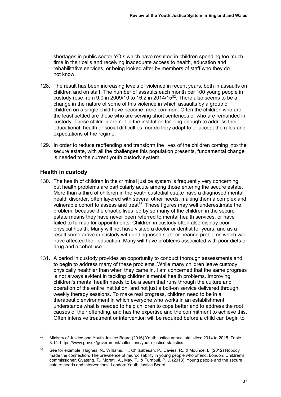shortages in public sector YOIs which have resulted in children spending too much time in their cells and receiving inadequate access to health, education and rehabilitative services, or being looked after by members of staff who they do not know.

- 128. The result has been increasing levels of violence in recent years, both in assaults on children and on staff. The number of assaults each month per 100 young people in custody rose from 9.0 in 2009/10 to 16.2 in 2014/15<sup>32</sup>. There also seems to be a change in the nature of some of this violence in which assaults by a group of children on a single child have become more common. Often the children who are the least settled are those who are serving short sentences or who are remanded in custody. These children are not in the institution for long enough to address their educational, health or social difficulties, nor do they adapt to or accept the rules and expectations of the regime.
- 129. In order to reduce reoffending and transform the lives of the children coming into the secure estate, with all the challenges this population presents, fundamental change is needed to the current youth custody system.

## **Health in custody**

<u>.</u>

- 130. The health of children in the criminal justice system is frequently very concerning, but health problems are particularly acute among those entering the secure estate. More than a third of children in the youth custodial estate have a diagnosed mental health disorder, often layered with several other needs, making them a complex and vulnerable cohort to assess and treat<sup>33</sup>. These figures may well underestimate the problem, because the chaotic lives led by so many of the children in the secure estate means they have never been referred to mental health services, or have failed to turn up for appointments. Children in custody often also display poor physical health. Many will not have visited a doctor or dentist for years, and as a result some arrive in custody with undiagnosed sight or hearing problems which will have affected their education. Many will have problems associated with poor diets or drug and alcohol use.
- 131. A period in custody provides an opportunity to conduct thorough assessments and to begin to address many of these problems. While many children leave custody physically healthier than when they came in, I am concerned that the same progress is not always evident in tackling children's mental health problems. Improving children's mental health needs to be a seam that runs through the culture and operation of the entire institution, and not just a bolt-on service delivered through weekly therapy sessions. To make real progress, children need to be in a therapeutic environment in which everyone who works in an establishment understands what is needed to help children to cope better and to address the root causes of their offending, and has the expertise and the commitment to achieve this. Often intensive treatment or intervention will be required before a child can begin to

<sup>&</sup>lt;sup>32</sup> Ministry of Justice and Youth Justice Board (2016) Youth justice annual statistics: 2014 to 2015, Table 8.14[. https://www.gov.uk/government/collections/youth-justice-statistics](https://www.gov.uk/government/collections/youth-justice-statistics) 

<sup>33</sup> See for example: Hughes, N., Williams, H., Chitsabesan, P., Davies, R., & Mounce, L. (2012) Nobody made the connection: The prevalence of neurodisability in young people who offend. London: Children's commissioner. Gyateng, T., Moretti, A., May, T., & Turnbull, P. J. (2013). Young people and the secure estate: needs and interventions. London: Youth Justice Board.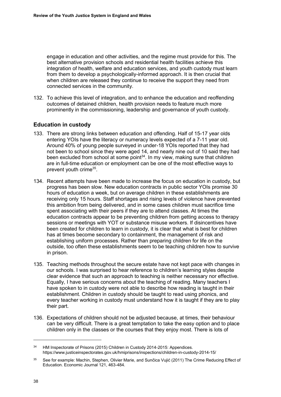engage in education and other activities, and the regime must provide for this. The best alternative provision schools and residential health facilities achieve this integration of health, welfare and education services, and youth custody must learn from them to develop a psychologically-informed approach. It is then crucial that when children are released they continue to receive the support they need from connected services in the community.

132. To achieve this level of integration, and to enhance the education and reoffending outcomes of detained children, health provision needs to feature much more prominently in the commissioning, leadership and governance of youth custody.

# **Education in custody**

- 133. There are strong links between education and offending. Half of 15-17 year olds entering YOIs have the literacy or numeracy levels expected of a 7-11 year old. Around 40% of young people surveyed in under-18 YOIs reported that they had not been to school since they were aged 14, and nearly nine out of 10 said they had been excluded from school at some point<sup>34</sup>. In my view, making sure that children are in full-time education or employment can be one of the most effective ways to prevent youth crime<sup>35</sup>.
- 134. Recent attempts have been made to increase the focus on education in custody, but progress has been slow. New education contracts in public sector YOIs promise 30 hours of education a week, but on average children in these establishments are receiving only 15 hours. Staff shortages and rising levels of violence have prevented this ambition from being delivered, and in some cases children must sacrifice time spent associating with their peers if they are to attend classes. At times the education contracts appear to be preventing children from getting access to therapy sessions or meetings with YOT or substance misuse workers. If disincentives have been created for children to learn in custody, it is clear that what is best for children has at times become secondary to containment, the management of risk and establishing uniform processes. Rather than preparing children for life on the outside, too often these establishments seem to be teaching children how to survive in prison.
- 135. Teaching methods throughout the secure estate have not kept pace with changes in our schools. I was surprised to hear reference to children's learning styles despite clear evidence that such an approach to teaching is neither necessary nor effective. Equally, I have serious concerns about the teaching of reading. Many teachers I have spoken to in custody were not able to describe how reading is taught in their establishment. Children in custody should be taught to read using phonics, and every teacher working in custody must understand how it is taught if they are to play their part.
- 136. Expectations of children should not be adjusted because, at times, their behaviour can be very difficult. There is a great temptation to take the easy option and to place children only in the classes or the courses that they enjoy most. There is lots of

 $\ddot{\phantom{a}}$ 

<sup>&</sup>lt;sup>34</sup> HM Inspectorate of Prisons (2015) Children in Custody 2014-2015: Appendices. <https://www.justiceinspectorates.gov.uk/hmiprisons/inspections/children-in-custody-2014-15/>

<sup>&</sup>lt;sup>35</sup> See for example: Machin, Stephen, Olivier Marie, and Sunčica Vujić (2011) The Crime Reducing Effect of Education. Economic Journal 121, 463-484.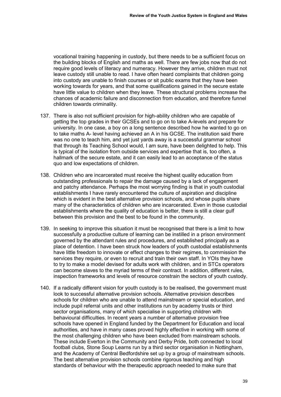vocational training happening in custody, but there needs to be a sufficient focus on the building blocks of English and maths as well. There are few jobs now that do not require good levels of literacy and numeracy. However they arrive, children must not leave custody still unable to read. I have often heard complaints that children going into custody are unable to finish courses or sit public exams that they have been working towards for years, and that some qualifications gained in the secure estate have little value to children when they leave. These structural problems increase the chances of academic failure and disconnection from education, and therefore funnel children towards criminality.

- 137. There is also not sufficient provision for high-ability children who are capable of getting the top grades in their GCSEs and to go on to take A-levels and prepare for university. In one case, a boy on a long sentence described how he wanted to go on to take maths A- level having achieved an A in his GCSE. The institution said there was no one to teach him, and yet just yards away is a successful grammar school that through its Teaching School would, I am sure, have been delighted to help. This is typical of the isolation from outside services and expertise that is, too often, a hallmark of the secure estate, and it can easily lead to an acceptance of the status quo and low expectations of children.
- 138. Children who are incarcerated must receive the highest quality education from outstanding professionals to repair the damage caused by a lack of engagement and patchy attendance. Perhaps the most worrying finding is that in youth custodial establishments I have rarely encountered the culture of aspiration and discipline which is evident in the best alternative provision schools, and whose pupils share many of the characteristics of children who are incarcerated. Even in those custodial establishments where the quality of education is better, there is still a clear gulf between this provision and the best to be found in the community.
- 139. In seeking to improve this situation it must be recognised that there is a limit to how successfully a productive culture of learning can be instilled in a prison environment governed by the attendant rules and procedures, and established principally as a place of detention. I have been struck how leaders of youth custodial establishments have little freedom to innovate or effect changes to their regimes, to commission the services they require, or even to recruit and train their own staff. In YOIs they have to try to make a model devised for adults work with children, and in STCs operators can become slaves to the myriad terms of their contract. In addition, different rules, inspection frameworks and levels of resource constrain the sectors of youth custody.
- 140. If a radically different vision for youth custody is to be realised, the government must look to successful alternative provision schools. Alternative provision describes schools for children who are unable to attend mainstream or special education, and include pupil referral units and other institutions run by academy trusts or third sector organisations, many of which specialise in supporting children with behavioural difficulties. In recent years a number of alternative provision free schools have opened in England funded by the Department for Education and local authorities, and have in many cases proved highly effective in working with some of the most challenging children who have been excluded from mainstream schools. These include Everton in the Community and Derby Pride, both connected to local football clubs, Stone Soup Learns run by a third sector organisation in Nottingham, and the Academy of Central Bedfordshire set up by a group of mainstream schools. The best alternative provision schools combine rigorous teaching and high standards of behaviour with the therapeutic approach needed to make sure that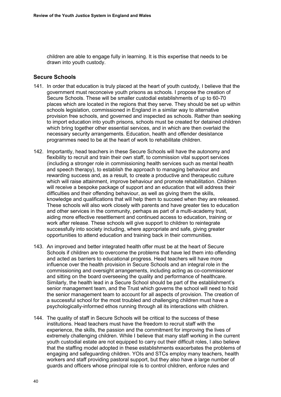children are able to engage fully in learning. It is this expertise that needs to be drawn into youth custody.

#### **Secure Schools**

- <span id="page-43-0"></span>141. In order that education is truly placed at the heart of youth custody, I believe that the government must reconceive youth prisons as schools. I propose the creation of Secure Schools. These will be smaller custodial establishments of up to 60-70 places which are located in the regions that they serve. They should be set up within schools legislation, commissioned in England in a similar way to alternative provision free schools, and governed and inspected as schools. Rather than seeking to import education into youth prisons, schools must be created for detained children which bring together other essential services, and in which are then overlaid the necessary security arrangements. Education, health and offender desistance programmes need to be at the heart of work to rehabilitate children.
- <span id="page-43-1"></span>142. Importantly, head teachers in these Secure Schools will have the autonomy and flexibility to recruit and train their own staff, to commission vital support services (including a stronger role in commissioning health services such as mental health and speech therapy), to establish the approach to managing behaviour and rewarding success and, as a result, to create a productive and therapeutic culture which will raise attainment, improve behaviour and promote rehabilitation. Children will receive a bespoke package of support and an education that will address their difficulties and their offending behaviour, as well as giving them the skills, knowledge and qualifications that will help them to succeed when they are released. These schools will also work closely with parents and have greater ties to education and other services in the community, perhaps as part of a multi-academy trust, aiding more effective resettlement and continued access to education, training or work after release. These schools will give support to children to reintegrate successfully into society including, where appropriate and safe, giving greater opportunities to attend education and training back in their communities.
- <span id="page-43-2"></span>143. An improved and better integrated health offer must be at the heart of Secure Schools if children are to overcome the problems that have led them into offending and acted as barriers to educational progress. Head teachers will have more influence over the health provision in Secure Schools and an integral role in the commissioning and oversight arrangements, including acting as co-commissioner and sitting on the board overseeing the quality and performance of healthcare. Similarly, the health lead in a Secure School should be part of the establishment's senior management team, and the Trust which governs the school will need to hold the senior management team to account for all aspects of provision. The creation of a successful school for the most troubled and challenging children must have a psychologically-informed ethos running through all its interactions with children.
- <span id="page-43-3"></span>144. The quality of staff in Secure Schools will be critical to the success of these institutions. Head teachers must have the freedom to recruit staff with the experience, the skills, the passion and the commitment for improving the lives of extremely challenging children. While I believe that many staff working in the current youth custodial estate are not equipped to carry out their difficult roles, I also believe that the staffing model adopted in these establishments exacerbates the problems of engaging and safeguarding children. YOIs and STCs employ many teachers, health workers and staff providing pastoral support, but they also have a large number of guards and officers whose principal role is to control children, enforce rules and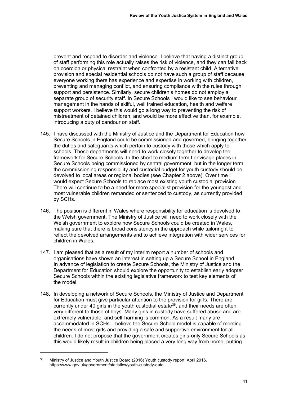prevent and respond to disorder and violence. I believe that having a distinct group of staff performing this role actually raises the risk of violence, and they can fall back on coercion or physical restraint when confronted by a resistant child. Alternative provision and special residential schools do not have such a group of staff because everyone working there has experience and expertise in working with children, preventing and managing conflict, and ensuring compliance with the rules through support and persistence. Similarly, secure children's homes do not employ a separate group of security staff. In Secure Schools I would like to see behaviour management in the hands of skilful, well trained education, health and welfare support workers. I believe this would go a long way to preventing the risk of mistreatment of detained children, and would be more effective than, for example, introducing a duty of candour on staff.

- 145. I have discussed with the Ministry of Justice and the Department for Education how Secure Schools in England could be commissioned and governed, bringing together the duties and safeguards which pertain to custody with those which apply to schools. These departments will need to work closely together to develop the framework for Secure Schools. In the short to medium term I envisage places in Secure Schools being commissioned by central government, but in the longer term the commissioning responsibility and custodial budget for youth custody should be devolved to local areas or regional bodies (see [Chapter 2 above\)](#page-9-0). Over time I would expect Secure Schools to replace most existing youth custodial provision. There will continue to be a need for more specialist provision for the youngest and most vulnerable children remanded or sentenced to custody, as currently provided by SCHs.
- 146. The position is different in Wales where responsibility for education is devolved to the Welsh government. The Ministry of Justice will need to work closely with the Welsh government to explore how Secure Schools could be created in Wales, making sure that there is broad consistency in the approach while tailoring it to reflect the devolved arrangements and to achieve integration with wider services for children in Wales.
- 147. I am pleased that as a result of my interim report a number of schools and organisations have shown an interest in setting up a Secure School in England. In advance of legislation to create Secure Schools, the Ministry of Justice and the Department for Education should explore the opportunity to establish early adopter Secure Schools within the existing legislative framework to test key elements of the model.
- 148. In developing a network of Secure Schools, the Ministry of Justice and Department for Education must give particular attention to the provision for girls. There are currently under 40 girls in the youth custodial estate<sup>36</sup>, and their needs are often very different to those of boys. Many girls in custody have suffered abuse and are extremely vulnerable, and self-harming is common. As a result many are accommodated in SCHs. I believe the Secure School model is capable of meeting the needs of most girls and providing a safe and supportive environment for all children. I do not propose that the government creates girls-only Secure Schools as this would likely result in children being placed a very long way from home, putting

-

<sup>36</sup> Ministry of Justice and Youth Justice Board (2016) Youth custody report: April 2016. <https://www.gov.uk/government/statistics/youth-custody-data>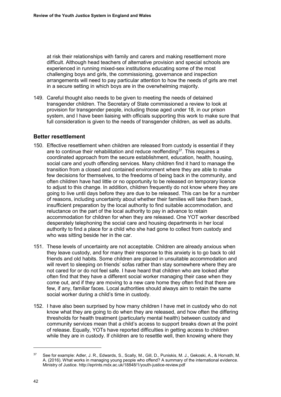at risk their relationships with family and carers and making resettlement more difficult. Although head teachers of alternative provision and special schools are experienced in running mixed-sex institutions educating some of the most challenging boys and girls, the commissioning, governance and inspection arrangements will need to pay particular attention to how the needs of girls are met in a secure setting in which boys are in the overwhelming majority.

149. Careful thought also needs to be given to meeting the needs of detained transgender children. The Secretary of State commissioned a review to look at provision for transgender people, including those aged under 18, in our prison system, and I have been liaising with officials supporting this work to make sure that full consideration is given to the needs of transgender children, as well as adults.

#### **Better resettlement**

- 150. Effective resettlement when children are released from custody is essential if they are to continue their rehabilitation and reduce reoffending $37$ . This requires a coordinated approach from the secure establishment, education, health, housing, social care and youth offending services. Many children find it hard to manage the transition from a closed and contained environment where they are able to make few decisions for themselves, to the freedoms of being back in the community, and often children have had little or no opportunity to be released on temporary licence to adjust to this change. In addition, children frequently do not know where they are going to live until days before they are due to be released. This can be for a number of reasons, including uncertainty about whether their families will take them back, insufficient preparation by the local authority to find suitable accommodation, and reluctance on the part of the local authority to pay in advance to retain accommodation for children for when they are released. One YOT worker described desperately telephoning the social care and housing departments in her local authority to find a place for a child who she had gone to collect from custody and who was sitting beside her in the car.
- <span id="page-45-0"></span>151. These levels of uncertainty are not acceptable. Children are already anxious when they leave custody, and for many their response to this anxiety is to go back to old friends and old habits. Some children are placed in unsuitable accommodation and will revert to sleeping on friends' sofas rather than stay somewhere where they are not cared for or do not feel safe. I have heard that children who are looked after often find that they have a different social worker managing their case when they come out, and if they are moving to a new care home they often find that there are few, if any, familiar faces. Local authorities should always aim to retain the same social worker during a child's time in custody.
- 152. I have also been surprised by how many children I have met in custody who do not know what they are going to do when they are released, and how often the differing thresholds for health treatment (particularly mental health) between custody and community services mean that a child's access to support breaks down at the point of release. Equally, YOTs have reported difficulties in getting access to children while they are in custody. If children are to resettle well, then knowing where they

 $\overline{a}$ 

<sup>37</sup> See for example: Adler, J. R., Edwards, S., Scally, M., Gill, D., Puniskis, M. J., Gekoski, A., & Horvath, M. A. (2016). What works in managing young people who offend? A summary of the international evidence. Ministry of Justice.<http://eprints.mdx.ac.uk/18848/1/youth-justice-review.pdf>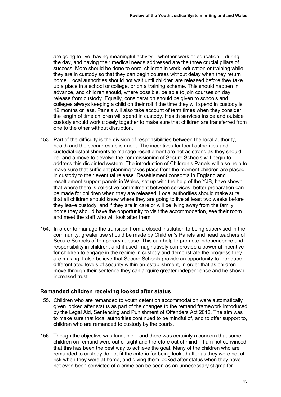are going to live, having meaningful activity – whether work or education – during the day, and having their medical needs addressed are the three crucial pillars of success. More should be done to enrol children in work, education or training while they are in custody so that they can begin courses without delay when they return home. Local authorities should not wait until children are released before they take up a place in a school or college, or on a training scheme. This should happen in advance, and children should, where possible, be able to join courses on day release from custody. Equally, consideration should be given to schools and colleges always keeping a child on their roll if the time they will spend in custody is 12 months or less. Panels will also take account of term times when they consider the length of time children will spend in custody. Health services inside and outside custody should work closely together to make sure that children are transferred from one to the other without disruption.

- <span id="page-46-0"></span>153. Part of the difficulty is the division of responsibilities between the local authority, health and the secure establishment. The incentives for local authorities and custodial establishments to manage resettlement are not as strong as they should be, and a move to devolve the commissioning of Secure Schools will begin to address this disjointed system. The introduction of Children's Panels will also help to make sure that sufficient planning takes place from the moment children are placed in custody to their eventual release. Resettlement consortia in England and resettlement support panels in Wales, set up with the help of the YJB, have shown that where there is collective commitment between services, better preparation can be made for children when they are released. Local authorities should make sure that all children should know where they are going to live at least two weeks before they leave custody, and if they are in care or will be living away from the family home they should have the opportunity to visit the accommodation, see their room and meet the staff who will look after them.
- 154. In order to manage the transition from a closed institution to being supervised in the community, greater use should be made by Children's Panels and head teachers of Secure Schools of temporary release. This can help to promote independence and responsibility in children, and if used imaginatively can provide a powerful incentive for children to engage in the regime in custody and demonstrate the progress they are making. I also believe that Secure Schools provide an opportunity to introduce differentiated levels of security within an establishment, in order that as children move through their sentence they can acquire greater independence and be shown increased trust.

#### **Remanded children receiving looked after status**

- 155. Children who are remanded to youth detention accommodation were automatically given looked after status as part of the changes to the remand framework introduced by the Legal Aid, Sentencing and Punishment of Offenders Act 2012. The aim was to make sure that local authorities continued to be mindful of, and to offer support to, children who are remanded to custody by the courts.
- 156. Though the objective was laudable and there was certainly a concern that some children on remand were out of sight and therefore out of mind – I am not convinced that this has been the best way to achieve the goal. Many of the children who are remanded to custody do not fit the criteria for being looked after as they were not at risk when they were at home, and giving them looked after status when they have not even been convicted of a crime can be seen as an unnecessary stigma for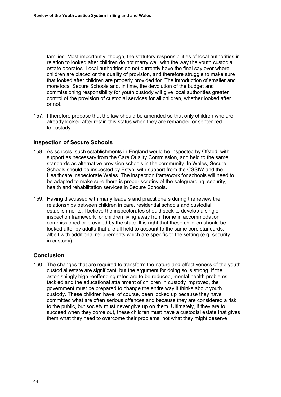families. Most importantly, though, the statutory responsibilities of local authorities in relation to looked after children do not marry well with the way the youth custodial estate operates. Local authorities do not currently have the final say over where children are placed or the quality of provision, and therefore struggle to make sure that looked after children are properly provided for. The introduction of smaller and more local Secure Schools and, in time, the devolution of the budget and commissioning responsibility for youth custody will give local authorities greater control of the provision of custodial services for all children, whether looked after or not.

<span id="page-47-0"></span>157. I therefore propose that the law should be amended so that only children who are already looked after retain this status when they are remanded or sentenced to custody.

## **Inspection of Secure Schools**

- <span id="page-47-1"></span>158. As schools, such establishments in England would be inspected by Ofsted, with support as necessary from the Care Quality Commission, and held to the same standards as alternative provision schools in the community. In Wales, Secure Schools should be inspected by Estyn, with support from the CSSIW and the Healthcare Inspectorate Wales. The inspection framework for schools will need to be adapted to make sure there is proper scrutiny of the safeguarding, security, health and rehabilitation services in Secure Schools.
- 159. Having discussed with many leaders and practitioners during the review the relationships between children in care, residential schools and custodial establishments, I believe the inspectorates should seek to develop a single inspection framework for children living away from home in accommodation commissioned or provided by the state. It is right that these children should be looked after by adults that are all held to account to the same core standards, albeit with additional requirements which are specific to the setting (e.g. security in custody).

## **Conclusion**

160. The changes that are required to transform the nature and effectiveness of the youth custodial estate are significant, but the argument for doing so is strong. If the astonishingly high reoffending rates are to be reduced, mental health problems tackled and the educational attainment of children in custody improved, the government must be prepared to change the entire way it thinks about youth custody. These children have, of course, been locked up because they have committed what are often serious offences and because they are considered a risk to the public, but society must never give up on them. Ultimately, if they are to succeed when they come out, these children must have a custodial estate that gives them what they need to overcome their problems, not what they might deserve.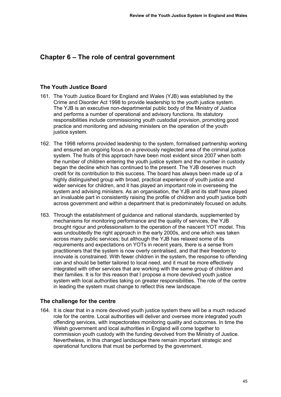# <span id="page-48-0"></span>**Chapter 6 – The role of central government**

#### **The Youth Justice Board**

- 161. The Youth Justice Board for England and Wales (YJB) was established by the Crime and Disorder Act 1998 to provide leadership to the youth justice system. The YJB is an executive non-departmental public body of the Ministry of Justice and performs a number of operational and advisory functions. Its statutory responsibilities include commissioning youth custodial provision, promoting good practice and monitoring and advising ministers on the operation of the youth justice system.
- 162. The 1998 reforms provided leadership to the system, formalised partnership working and ensured an ongoing focus on a previously neglected area of the criminal justice system. The fruits of this approach have been most evident since 2007 when both the number of children entering the youth justice system and the number in custody began the decline which has continued to the present. The YJB deserves much credit for its contribution to this success. The board has always been made up of a highly distinguished group with broad, practical experience of youth justice and wider services for children, and it has played an important role in overseeing the system and advising ministers. As an organisation, the YJB and its staff have played an invaluable part in consistently raising the profile of children and youth justice both across government and within a department that is predominately focused on adults.
- 163. Through the establishment of guidance and national standards, supplemented by mechanisms for monitoring performance and the quality of services, the YJB brought rigour and professionalism to the operation of the nascent YOT model. This was undoubtedly the right approach in the early 2000s, and one which was taken across many public services; but although the YJB has relaxed some of its requirements and expectations on YOTs in recent years, there is a sense from practitioners that the system is now overly centralised, and that their freedom to innovate is constrained. With fewer children in the system, the response to offending can and should be better tailored to local need, and it must be more effectively integrated with other services that are working with the same group of children and their families. It is for this reason that I propose a more devolved youth justice system with local authorities taking on greater responsibilities. The role of the centre in leading the system must change to reflect this new landscape.

## **The challenge for the centre**

164. It is clear that in a more devolved youth justice system there will be a much reduced role for the centre. Local authorities will deliver and oversee more integrated youth offending services, with inspectorates monitoring quality and outcomes. In time the Welsh government and local authorities in England will come together to commission youth custody with the funding devolved from the Ministry of Justice. Nevertheless, in this changed landscape there remain important strategic and operational functions that must be performed by the government.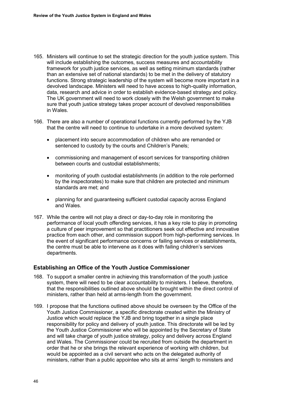- 165. Ministers will continue to set the strategic direction for the youth justice system. This will include establishing the outcomes, success measures and accountability framework for youth justice services, as well as setting minimum standards (rather than an extensive set of national standards) to be met in the delivery of statutory functions. Strong strategic leadership of the system will become more important in a devolved landscape. Ministers will need to have access to high-quality information, data, research and advice in order to establish evidence-based strategy and policy. The UK government will need to work closely with the Welsh government to make sure that youth justice strategy takes proper account of devolved responsibilities in Wales.
- 166. There are also a number of operational functions currently performed by the YJB that the centre will need to continue to undertake in a more devolved system:
	- placement into secure accommodation of children who are remanded or sentenced to custody by the courts and Children's Panels;
	- commissioning and management of escort services for transporting children between courts and custodial establishments;
	- monitoring of youth custodial establishments (in addition to the role performed by the inspectorates) to make sure that children are protected and minimum standards are met; and
	- planning for and guaranteeing sufficient custodial capacity across England and Wales.
- 167. While the centre will not play a direct or day-to-day role in monitoring the performance of local youth offending services, it has a key role to play in promoting a culture of peer improvement so that practitioners seek out effective and innovative practice from each other, and commission support from high-performing services. In the event of significant performance concerns or failing services or establishments, the centre must be able to intervene as it does with failing children's services departments.

## **Establishing an Office of the Youth Justice Commissioner**

- 168. To support a smaller centre in achieving this transformation of the youth justice system, there will need to be clear accountability to ministers. I believe, therefore, that the responsibilities outlined above should be brought within the direct control of ministers, rather than held at arms-length from the government.
- <span id="page-49-0"></span>169. I propose that the functions outlined above should be overseen by the Office of the Youth Justice Commissioner, a specific directorate created within the Ministry of Justice which would replace the YJB and bring together in a single place responsibility for policy and delivery of youth justice. This directorate will be led by the Youth Justice Commissioner who will be appointed by the Secretary of State and will take charge of youth justice strategy, policy and delivery across England and Wales. The Commissioner could be recruited from outside the department in order that he or she brings the relevant experience of working with children, but would be appointed as a civil servant who acts on the delegated authority of ministers, rather than a public appointee who sits at arms' length to ministers and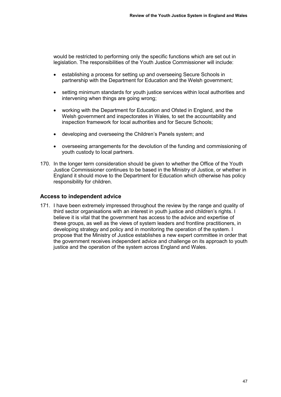would be restricted to performing only the specific functions which are set out in legislation. The responsibilities of the Youth Justice Commissioner will include:

- establishing a process for setting up and overseeing Secure Schools in partnership with the Department for Education and the Welsh government;
- setting minimum standards for youth justice services within local authorities and intervening when things are going wrong;
- working with the Department for Education and Ofsted in England, and the Welsh government and inspectorates in Wales, to set the accountability and inspection framework for local authorities and for Secure Schools;
- developing and overseeing the Children's Panels system; and
- overseeing arrangements for the devolution of the funding and commissioning of youth custody to local partners.
- 170. In the longer term consideration should be given to whether the Office of the Youth Justice Commissioner continues to be based in the Ministry of Justice, or whether in England it should move to the Department for Education which otherwise has policy responsibility for children.

#### **Access to independent advice**

<span id="page-50-0"></span>171. I have been extremely impressed throughout the review by the range and quality of third sector organisations with an interest in youth justice and children's rights. I believe it is vital that the government has access to the advice and expertise of these groups, as well as the views of system leaders and frontline practitioners, in developing strategy and policy and in monitoring the operation of the system. I propose that the Ministry of Justice establishes a new expert committee in order that the government receives independent advice and challenge on its approach to youth justice and the operation of the system across England and Wales.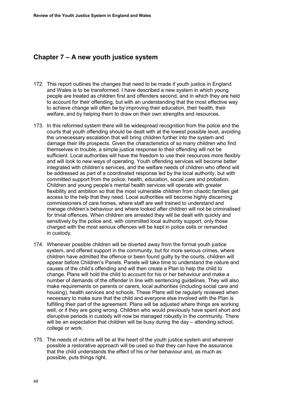# **Chapter 7 – A new youth justice system**

- 172. This report outlines the changes that need to be made if youth justice in England and Wales is to be transformed. I have described a new system in which young people are treated as children first and offenders second, and in which they are held to account for their offending, but with an understanding that the most effective way to achieve change will often be by improving their education, their health, their welfare, and by helping them to draw on their own strengths and resources.
- 173. In this reformed system there will be widespread recognition from the police and the courts that youth offending should be dealt with at the lowest possible level, avoiding the unnecessary escalation that will bring children further into the system and damage their life prospects. Given the characteristics of so many children who find themselves in trouble, a simple justice response to their offending will not be sufficient. Local authorities will have the freedom to use their resources more flexibly and will look to new ways of operating. Youth offending services will become better integrated with children's services, and the welfare needs of children who offend will be addressed as part of a coordinated response led by the local authority, but with committed support from the police, health, education, social care and probation. Children and young people's mental health services will operate with greater flexibility and ambition so that the most vulnerable children from chaotic families get access to the help that they need. Local authorities will become highly discerning commissioners of care homes, where staff are well trained to understand and manage children's behaviour and where looked after children will not be criminalised for trivial offences. When children are arrested they will be dealt with quickly and sensitively by the police and, with committed local authority support, only those charged with the most serious offences will be kept in police cells or remanded in custody.
- 174. Whenever possible children will be diverted away from the formal youth justice system, and offered support in the community, but for more serious crimes, where children have admitted the offence or been found guilty by the courts, children will appear before Children's Panels. Panels will take time to understand the nature and causes of the child's offending and will then create a Plan to help the child to change. Plans will hold the child to account for his or her behaviour and make a number of demands of the offender in line with sentencing guidelines. They will also make requirements on parents or carers, local authorities (including social care and housing), health services and schools. These Plans will be regularly reviewed when necessary to make sure that the child and everyone else involved with the Plan is fulfilling their part of the agreement. Plans will be adjusted where things are working well, or if they are going wrong. Children who would previously have spent short and disruptive periods in custody will now be managed robustly in the community. There will be an expectation that children will be busy during the day – attending school, college or work.
- 175. The needs of victims will be at the heart of the youth justice system and wherever possible a restorative approach will be used so that they can have the assurance that the child understands the effect of his or her behaviour and, as much as possible, puts things right.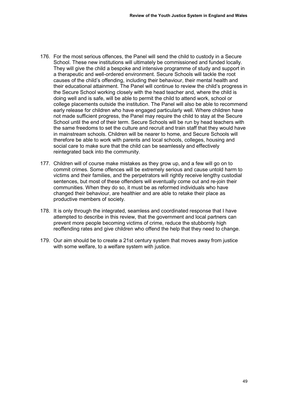- 176. For the most serious offences, the Panel will send the child to custody in a Secure School. These new institutions will ultimately be commissioned and funded locally. They will give the child a bespoke and intensive programme of study and support in a therapeutic and well-ordered environment. Secure Schools will tackle the root causes of the child's offending, including their behaviour, their mental health and their educational attainment. The Panel will continue to review the child's progress in the Secure School working closely with the head teacher and, where the child is doing well and is safe, will be able to permit the child to attend work, school or college placements outside the institution. The Panel will also be able to recommend early release for children who have engaged particularly well. Where children have not made sufficient progress, the Panel may require the child to stay at the Secure School until the end of their term. Secure Schools will be run by head teachers with the same freedoms to set the culture and recruit and train staff that they would have in mainstream schools. Children will be nearer to home, and Secure Schools will therefore be able to work with parents and local schools, colleges, housing and social care to make sure that the child can be seamlessly and effectively reintegrated back into the community.
- 177. Children will of course make mistakes as they grow up, and a few will go on to commit crimes. Some offences will be extremely serious and cause untold harm to victims and their families, and the perpetrators will rightly receive lengthy custodial sentences, but most of these offenders will eventually come out and re-join their communities. When they do so, it must be as reformed individuals who have changed their behaviour, are healthier and are able to retake their place as productive members of society.
- 178. It is only through the integrated, seamless and coordinated response that I have attempted to describe in this review, that the government and local partners can prevent more people becoming victims of crime, reduce the stubbornly high reoffending rates and give children who offend the help that they need to change.
- 179. Our aim should be to create a 21st century system that moves away from justice with some welfare, to a welfare system with justice.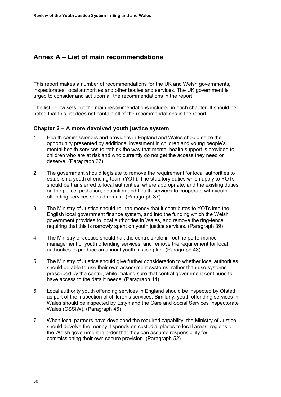# **Annex A – List of main recommendations**

This report makes a number of recommendations for the UK and Welsh governments, inspectorates, local authorities and other bodies and services. The UK government is urged to consider and act upon all the recommendations in the report.

The list below sets out the main recommendations included in each chapter. It should be noted that this list does not contain all of the recommendations in the report.

#### **Chapter 2 – A more devolved youth justice system**

- 1. Health commissioners and providers in England and Wales should seize the opportunity presented by additional investment in children and young people's mental health services to rethink the way that mental health support is provided to children who are at risk and who currently do not get the access they need or deserve. (Paragraph [27\)](#page-12-0)
- 2. The government should legislate to remove the requirement for local authorities to establish a youth offending team (YOT). The statutory duties which apply to YOTs should be transferred to local authorities, where appropriate, and the existing duties on the police, probation, education and health services to cooperate with youth offending services should remain. (Paragraph [37\)](#page-15-0)
- 3. The Ministry of Justice should roll the money that it contributes to YOTs into the English local government finance system, and into the funding which the Welsh government provides to local authorities in Wales, and remove the ring-fence requiring that this is narrowly spent on youth justice services. (Paragraph [39\)](#page-16-0)
- 4. The Ministry of Justice should halt the centre's role in routine performance management of youth offending services, and remove the requirement for local authorities to produce an annual youth justice plan. (Paragraph [43\)](#page-17-0)
- 5. The Ministry of Justice should give further consideration to whether local authorities should be able to use their own assessment systems, rather than use systems prescribed by the centre, while making sure that central government continues to have access to the data it needs. (Paragraph [44\)](#page-17-1)
- 6. Local authority youth offending services in England should be inspected by Ofsted as part of the inspection of children's services. Similarly, youth offending services in Wales should be inspected by Estyn and the Care and Social Services Inspectorate Wales (CSSIW). (Paragraph [46\)](#page-17-2)
- 7. When local partners have developed the required capability, the Ministry of Justice should devolve the money it spends on custodial places to local areas, regions or the Welsh government in order that they can assume responsibility for commissioning their own secure provision. (Paragraph [52\)](#page-19-0)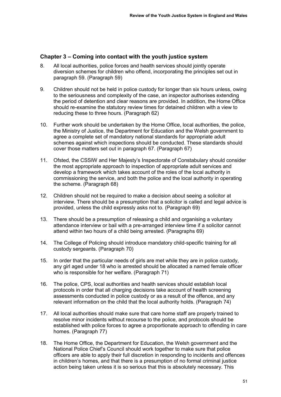## **Chapter 3 – Coming into contact with the youth justice system**

- 8. All local authorities, police forces and health services should jointly operate diversion schemes for children who offend, incorporating the principles set out in paragraph [59.](#page-21-0) (Paragraph [59\)](#page-21-0)
- 9. Children should not be held in police custody for longer than six hours unless, owing to the seriousness and complexity of the case, an inspector authorises extending the period of detention and clear reasons are provided. In addition, the Home Office should re-examine the statutory review times for detained children with a view to reducing these to three hours. (Paragraph [62\)](#page-22-0)
- 10. Further work should be undertaken by the Home Office, local authorities, the police, the Ministry of Justice, the Department for Education and the Welsh government to agree a complete set of mandatory national standards for appropriate adult schemes against which inspections should be conducted. These standards should cover those matters set out in paragraph [67.](#page-24-0) (Paragraph [67\)](#page-24-0)
- 11. Ofsted, the CSSIW and Her Majesty's Inspectorate of Constabulary should consider the most appropriate approach to inspection of appropriate adult services and develop a framework which takes account of the roles of the local authority in commissioning the service, and both the police and the local authority in operating the scheme. (Paragraph [68\)](#page-24-1)
- 12. Children should not be required to make a decision about seeing a solicitor at interview. There should be a presumption that a solicitor is called and legal advice is provided, unless the child expressly asks not to. (Paragraph [69\)](#page-24-2)
- 13. There should be a presumption of releasing a child and organising a voluntary attendance interview or bail with a pre-arranged interview time if a solicitor cannot attend within two hours of a child being arrested. (Paragraphs [69\)](#page-24-2)
- 14. The College of Policing should introduce mandatory child-specific training for all custody sergeants. (Paragraph [70\)](#page-25-0)
- 15. In order that the particular needs of girls are met while they are in police custody, any girl aged under 18 who is arrested should be allocated a named female officer who is responsible for her welfare. (Paragraph [71\)](#page-25-1)
- 16. The police, CPS, local authorities and health services should establish local protocols in order that all charging decisions take account of health screening assessments conducted in police custody or as a result of the offence, and any relevant information on the child that the local authority holds. (Paragraph [74\)](#page-26-0)
- 17. All local authorities should make sure that care home staff are properly trained to resolve minor incidents without recourse to the police, and protocols should be established with police forces to agree a proportionate approach to offending in care homes. (Paragraph [77\)](#page-27-0)
- 18. The Home Office, the Department for Education, the Welsh government and the National Police Chief's Council should work together to make sure that police officers are able to apply their full discretion in responding to incidents and offences in children's homes, and that there is a presumption of no formal criminal justice action being taken unless it is so serious that this is absolutely necessary. This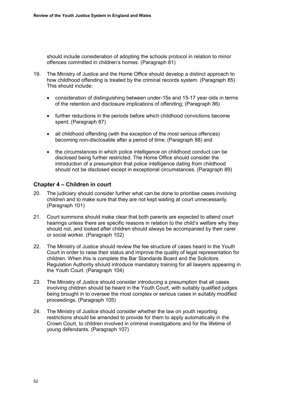should include consideration of adopting the schools protocol in relation to minor offences committed in children's homes. (Paragraph [81\)](#page-28-0)

- 19. The Ministry of Justice and the Home Office should develop a distinct approach to how childhood offending is treated by the criminal records system. (Paragraph [85\)](#page-28-1) This should include:
	- consideration of distinguishing between under-15s and 15-17 year olds in terms of the retention and disclosure implications of offending; (Paragraph [86\)](#page-29-0)
	- further reductions in the periods before which childhood convictions become spent; (Paragraph [87\)](#page-29-1)
	- all childhood offending (with the exception of the most serious offences) becoming non-disclosable after a period of time; (Paragraph [88\)](#page-29-2) and
	- the circumstances in which police intelligence on childhood conduct can be disclosed being further restricted. The Home Office should consider the introduction of a presumption that police intelligence dating from childhood should not be disclosed except in exceptional circumstances. (Paragraph [89\)](#page-29-3)

## **Chapter 4 – Children in court**

- 20. The judiciary should consider further what can be done to prioritise cases involving children and to make sure that they are not kept waiting at court unnecessarily. (Paragraph [101\)](#page-33-0)
- 21. Court summons should make clear that both parents are expected to attend court hearings unless there are specific reasons in relation to the child's welfare why they should not, and looked after children should always be accompanied by their carer or social worker. (Paragraph [102\)](#page-33-1)
- 22. The Ministry of Justice should review the fee structure of cases heard in the Youth Court in order to raise their status and improve the quality of legal representation for children. When this is complete the Bar Standards Board and the Solicitors Regulation Authority should introduce mandatory training for all lawyers appearing in the Youth Court. (Paragraph [104\)](#page-34-0)
- 23. The Ministry of Justice should consider introducing a presumption that all cases involving children should be heard in the Youth Court, with suitably qualified judges being brought in to oversee the most complex or serious cases in suitably modified proceedings. (Paragraph [105\)](#page-34-1)
- 24. The Ministry of Justice should consider whether the law on youth reporting restrictions should be amended to provide for them to apply automatically in the Crown Court, to children involved in criminal investigations and for the lifetime of young defendants. (Paragraph [107\)](#page-35-0)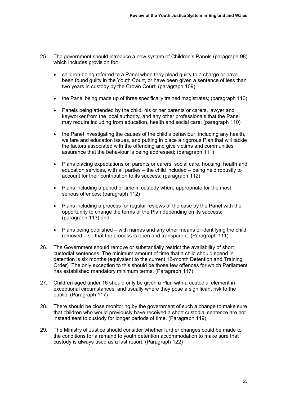- 25. The government should introduce a new system of Children's Panels (paragraph [98\)](#page-32-0) which includes provision for:
	- children being referred to a Panel when they plead guilty to a charge or have been found guilty in the Youth Court, or have been given a sentence of less than two years in custody by the Crown Court; (paragraph [109\)](#page-35-1)
	- the Panel being made up of three specifically trained magistrates; (paragraph [110\)](#page-35-2)
	- Panels being attended by the child, his or her parents or carers, lawyer and keyworker from the local authority, and any other professionals that the Panel may require including from education, health and social care; (paragraph [110\)](#page-35-2)
	- the Panel investigating the causes of the child's behaviour, including any health, welfare and education issues, and putting in place a rigorous Plan that will tackle the factors associated with the offending and give victims and communities assurance that the behaviour is being addressed; (paragraph [111\)](#page-36-0)
	- Plans placing expectations on parents or carers, social care, housing, health and education services, with all parties – the child included – being held robustly to account for their contribution to its success; (paragraph [112\)](#page-36-1)
	- Plans including a period of time in custody where appropriate for the most serious offences; (paragraph [112\)](#page-36-1)
	- Plans including a process for regular reviews of the case by the Panel with the opportunity to change the terms of the Plan depending on its success; (paragraph [113\)](#page-36-2) and
	- Plans being published with names and any other means of identifying the child removed – so that the process is open and transparent. (Paragraph [111\)](#page-36-0)
- 26. The Government should remove or substantially restrict the availability of short custodial sentences. The minimum amount of time that a child should spend in detention is six months (equivalent to the current 12-month Detention and Training Order). The only exception to this should be those few offences for which Parliament has established mandatory minimum terms. (Paragraph [117\)](#page-37-0)
- 27. Children aged under 16 should only be given a Plan with a custodial element in exceptional circumstances, and usually where they pose a significant risk to the public. (Paragraph [117\)](#page-37-0)
- 28. There should be close monitoring by the government of such a change to make sure that children who would previously have received a short custodial sentence are not instead sent to custody for longer periods of time. (Paragraph [119\)](#page-38-0)
- 29. The Ministry of Justice should consider whether further changes could be made to the conditions for a remand to youth detention accommodation to make sure that custody is always used as a last resort. (Paragraph [122\)](#page-38-1)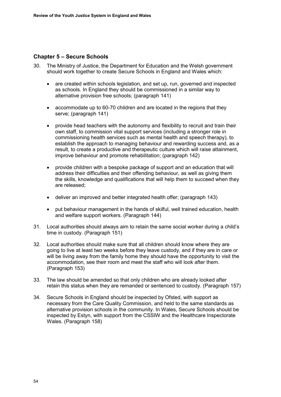## **Chapter 5 – Secure Schools**

- 30. The Ministry of Justice, the Department for Education and the Welsh government should work together to create Secure Schools in England and Wales which:
	- are created within schools legislation, and set up, run, governed and inspected as schools. In England they should be commissioned in a similar way to alternative provision free schools; (paragraph [141\)](#page-43-0)
	- accommodate up to 60-70 children and are located in the regions that they serve; (paragraph [141\)](#page-43-0)
	- provide head teachers with the autonomy and flexibility to recruit and train their own staff, to commission vital support services (including a stronger role in commissioning health services such as mental health and speech therapy), to establish the approach to managing behaviour and rewarding success and, as a result, to create a productive and therapeutic culture which will raise attainment, improve behaviour and promote rehabilitation; (paragraph [142\)](#page-43-1)
	- provide children with a bespoke package of support and an education that will address their difficulties and their offending behaviour, as well as giving them the skills, knowledge and qualifications that will help them to succeed when they are released;
	- deliver an improved and better integrated health offer; (paragraph [143\)](#page-43-2)
	- put behaviour management in the hands of skilful, well trained education, health and welfare support workers. (Paragraph [144\)](#page-43-3)
- 31. Local authorities should always aim to retain the same social worker during a child's time in custody. (Paragraph [151\)](#page-45-0)
- 32. Local authorities should make sure that all children should know where they are going to live at least two weeks before they leave custody, and if they are in care or will be living away from the family home they should have the opportunity to visit the accommodation, see their room and meet the staff who will look after them. (Paragraph [153\)](#page-46-0)
- 33. The law should be amended so that only children who are already looked after retain this status when they are remanded or sentenced to custody. (Paragraph [157\)](#page-47-0)
- 34. Secure Schools in England should be inspected by Ofsted, with support as necessary from the Care Quality Commission, and held to the same standards as alternative provision schools in the community. In Wales, Secure Schools should be inspected by Estyn, with support from the CSSIW and the Healthcare Inspectorate Wales. (Paragraph [158\)](#page-47-1)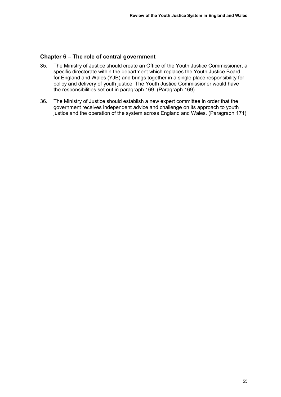#### **Chapter 6 – The role of central government**

- 35. The Ministry of Justice should create an Office of the Youth Justice Commissioner, a specific directorate within the department which replaces the Youth Justice Board for England and Wales (YJB) and brings together in a single place responsibility for policy and delivery of youth justice. The Youth Justice Commissioner would have the responsibilities set out in paragraph [169.](#page-49-0) (Paragraph [169\)](#page-49-0)
- 36. The Ministry of Justice should establish a new expert committee in order that the government receives independent advice and challenge on its approach to youth justice and the operation of the system across England and Wales. (Paragraph [171\)](#page-50-0)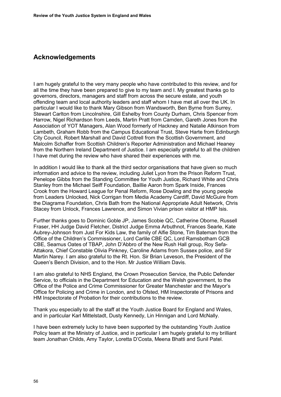# **Acknowledgements**

I am hugely grateful to the very many people who have contributed to this review, and for all the time they have been prepared to give to my team and I. My greatest thanks go to governors, directors, managers and staff from across the secure estate, and youth offending team and local authority leaders and staff whom I have met all over the UK. In particular I would like to thank Mary Gibson from Wandsworth, Ben Byrne from Surrey, Stewart Carlton from Lincolnshire, Gill Eshelby from County Durham, Chris Spencer from Harrow, Nigel Richardson from Leeds, Martin Pratt from Camden, Gareth Jones from the Association of YOT Managers, Alan Wood formerly of Hackney and Natalie Atkinson from Lambeth, Graham Robb from the Campus Educational Trust, Steve Harte from Edinburgh City Council, Robert Marshall and David Cottrell from the Scottish Government, and Malcolm Schaffer from Scottish Children's Reporter Administration and Michael Heaney from the Northern Ireland Department of Justice. I am especially grateful to all the children I have met during the review who have shared their experiences with me.

In addition I would like to thank all the third sector organisations that have given so much information and advice to the review, including Juliet Lyon from the Prison Reform Trust, Penelope Gibbs from the Standing Committee for Youth Justice, Richard White and Chris Stanley from the Michael Seiff Foundation, Baillie Aaron from Spark Inside, Frances Crook from the Howard League for Penal Reform, Rose Dowling and the young people from Leaders Unlocked, Nick Corrigan from Media Academy Cardiff, David McGuire from the Diagrama Foundation, Chris Bath from the National Appropriate Adult Network, Chris Stacey from Unlock, Frances Lawrence, and Simon Vivian prison visitor at HMP Isis.

Further thanks goes to Dominic Goble JP, James Scobie QC, Catherine Oborne, Russell Fraser, HH Judge David Fletcher, District Judge Emma Arbuthnot, Frances Searle, Kate Aubrey-Johnson from Just For Kids Law, the family of Alfie Stone, Tim Bateman from the Office of the Children's Commissioner, Lord Carlile CBE QC, Lord Ramsbotham GCB CBE, Seamus Oates of TBAP, John D'Abbro of the New Rush Hall group, Roy Sefa-Attakora, Chief Constable Olivia Pinkney, Caroline Adams from Sussex police, and Sir Martin Narey. I am also grateful to the Rt. Hon. Sir Brian Leveson, the President of the Queen's Bench Division, and to the Hon. Mr Justice William Davis.

I am also grateful to NHS England, the Crown Prosecution Service, the Public Defender Service, to officials in the Department for Education and the Welsh government, to the Office of the Police and Crime Commissioner for Greater Manchester and the Mayor's Office for Policing and Crime in London, and to Ofsted, HM Inspectorate of Prisons and HM Inspectorate of Probation for their contributions to the review.

Thank you especially to all the staff at the Youth Justice Board for England and Wales, and in particular Karl Mittelstadt, Dusty Kennedy, Lin Hinnigan and Lord McNally.

I have been extremely lucky to have been supported by the outstanding Youth Justice Policy team at the Ministry of Justice, and in particular I am hugely grateful to my brilliant team Jonathan Childs, Amy Taylor, Loretta D'Costa, Meena Bhatti and Sunil Patel.